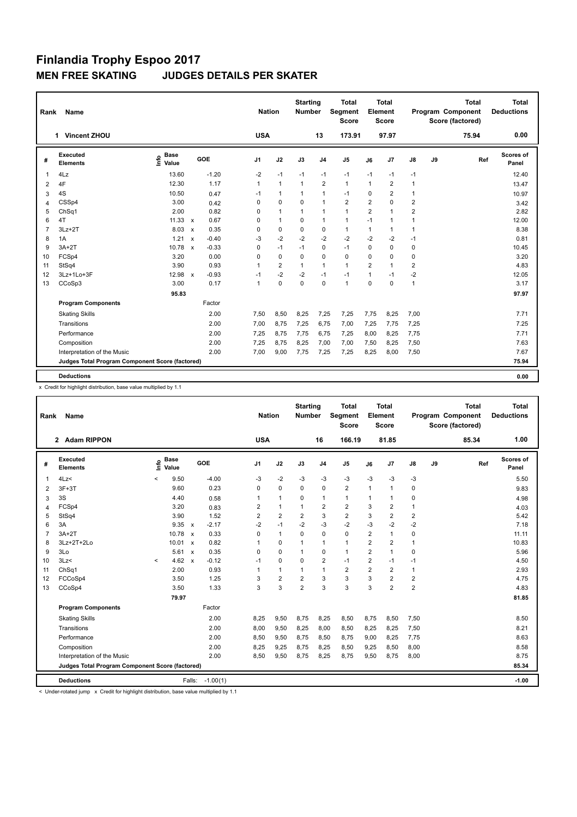| Rank           | <b>Name</b>                                     |                              |                           |         |                      | <b>Nation</b>  | <b>Starting</b><br><b>Number</b> |                | <b>Total</b><br>Segment<br><b>Score</b> |                         | <b>Total</b><br>Element<br><b>Score</b> |                |    | <b>Total</b><br>Program Component<br>Score (factored) | <b>Total</b><br><b>Deductions</b> |
|----------------|-------------------------------------------------|------------------------------|---------------------------|---------|----------------------|----------------|----------------------------------|----------------|-----------------------------------------|-------------------------|-----------------------------------------|----------------|----|-------------------------------------------------------|-----------------------------------|
|                | <b>Vincent ZHOU</b><br>1                        |                              |                           |         | <b>USA</b>           |                |                                  | 13             | 173.91                                  |                         | 97.97                                   |                |    | 75.94                                                 | 0.00                              |
| #              | Executed<br><b>Elements</b>                     | <b>Base</b><br>١nfo<br>Value |                           | GOE     | J <sub>1</sub>       | J2             | J3                               | J <sub>4</sub> | J <sub>5</sub>                          | J6                      | J <sub>7</sub>                          | J8             | J9 | Ref                                                   | Scores of<br>Panel                |
| $\mathbf{1}$   | 4Lz                                             | 13.60                        |                           | $-1.20$ | $-2$                 | $-1$           | $-1$                             | $-1$           | $-1$                                    | $-1$                    | $-1$                                    | $-1$           |    |                                                       | 12.40                             |
| 2              | 4F                                              | 12.30                        |                           | 1.17    | $\mathbf{1}$         | $\mathbf{1}$   | $\mathbf{1}$                     | $\overline{2}$ | $\mathbf{1}$                            | $\mathbf{1}$            | $\overline{2}$                          | $\mathbf{1}$   |    |                                                       | 13.47                             |
| 3              | 4S                                              | 10.50                        |                           | 0.47    | $-1$                 | $\mathbf{1}$   | $\mathbf{1}$                     | $\overline{1}$ | $-1$                                    | 0                       | 2                                       | $\mathbf{1}$   |    |                                                       | 10.97                             |
| 4              | CSSp4                                           | 3.00                         |                           | 0.42    | 0                    | $\mathbf 0$    | 0                                | $\overline{1}$ | $\overline{2}$                          | $\overline{\mathbf{c}}$ | $\Omega$                                | 2              |    |                                                       | 3.42                              |
| 5              | ChSq1                                           | 2.00                         |                           | 0.82    | 0                    | $\mathbf{1}$   | $\mathbf{1}$                     | $\overline{1}$ | $\mathbf{1}$                            | $\overline{2}$          | $\mathbf{1}$                            | $\overline{2}$ |    |                                                       | 2.82                              |
| 6              | 4T                                              | $11.33 \times$               |                           | 0.67    | 0                    | $\mathbf{1}$   | $\Omega$                         | $\overline{1}$ | $\mathbf{1}$                            | $-1$                    | $\mathbf{1}$                            | $\mathbf{1}$   |    |                                                       | 12.00                             |
| $\overline{7}$ | $3Lz + 2T$                                      | 8.03                         | $\boldsymbol{\mathsf{x}}$ | 0.35    | 0                    | $\mathbf 0$    | $\mathbf 0$                      | $\mathbf 0$    | $\mathbf{1}$                            | $\mathbf{1}$            | 1                                       | $\mathbf{1}$   |    |                                                       | 8.38                              |
| 8              | 1A                                              | 1.21                         | $\mathbf{x}$              | $-0.40$ | $-3$                 | $-2$           | $-2$                             | $-2$           | $-2$                                    | $-2$                    | $-2$                                    | $-1$           |    |                                                       | 0.81                              |
| 9              | $3A+2T$                                         | 10.78                        | $\boldsymbol{\mathsf{x}}$ | $-0.33$ | 0                    | $-1$           | $-1$                             | 0              | $-1$                                    | 0                       | $\mathbf 0$                             | 0              |    |                                                       | 10.45                             |
| 10             | FCSp4                                           | 3.20                         |                           | 0.00    | 0                    | $\mathbf 0$    | $\Omega$                         | $\mathbf 0$    | 0                                       | $\mathbf 0$             | 0                                       | 0              |    |                                                       | 3.20                              |
| 11             | StSq4                                           | 3.90                         |                           | 0.93    | $\blacktriangleleft$ | $\overline{2}$ | $\mathbf{1}$                     | $\overline{1}$ | $\mathbf{1}$                            | $\overline{2}$          | $\mathbf{1}$                            | $\overline{2}$ |    |                                                       | 4.83                              |
| 12             | 3Lz+1Lo+3F                                      | 12.98                        | $\boldsymbol{\mathsf{x}}$ | $-0.93$ | $-1$                 | $-2$           | $-2$                             | $-1$           | $-1$                                    | $\mathbf{1}$            | $-1$                                    | $-2$           |    |                                                       | 12.05                             |
| 13             | CCoSp3                                          | 3.00                         |                           | 0.17    | 1                    | $\mathbf 0$    | 0                                | $\mathbf 0$    | $\mathbf{1}$                            | $\mathbf 0$             | $\Omega$                                | $\mathbf{1}$   |    |                                                       | 3.17                              |
|                |                                                 | 95.83                        |                           |         |                      |                |                                  |                |                                         |                         |                                         |                |    |                                                       | 97.97                             |
|                | <b>Program Components</b>                       |                              |                           | Factor  |                      |                |                                  |                |                                         |                         |                                         |                |    |                                                       |                                   |
|                | <b>Skating Skills</b>                           |                              |                           | 2.00    | 7,50                 | 8,50           | 8,25                             | 7,25           | 7,25                                    | 7,75                    | 8,25                                    | 7,00           |    |                                                       | 7.71                              |
|                | Transitions                                     |                              |                           | 2.00    | 7,00                 | 8,75           | 7,25                             | 6,75           | 7,00                                    | 7,25                    | 7,75                                    | 7,25           |    |                                                       | 7.25                              |
|                | Performance                                     |                              |                           | 2.00    | 7,25                 | 8,75           | 7,75                             | 6,75           | 7,25                                    | 8,00                    | 8,25                                    | 7,75           |    |                                                       | 7.71                              |
|                | Composition                                     |                              |                           | 2.00    | 7,25                 | 8,75           | 8,25                             | 7,00           | 7,00                                    | 7,50                    | 8,25                                    | 7,50           |    |                                                       | 7.63                              |
|                | Interpretation of the Music                     |                              |                           | 2.00    | 7,00                 | 9,00           | 7,75                             | 7,25           | 7,25                                    | 8,25                    | 8,00                                    | 7,50           |    |                                                       | 7.67                              |
|                | Judges Total Program Component Score (factored) |                              |                           |         |                      |                |                                  |                |                                         |                         |                                         |                |    |                                                       | 75.94                             |
|                |                                                 |                              |                           |         |                      |                |                                  |                |                                         |                         |                                         |                |    |                                                       |                                   |
|                | <b>Deductions</b>                               |                              |                           |         |                      |                |                                  |                |                                         |                         |                                         |                |    |                                                       | 0.00                              |

x Credit for highlight distribution, base value multiplied by 1.1

| Rank           | Name                                            |         |                      |                           |            | <b>Nation</b>  |                         | <b>Starting</b><br><b>Number</b> |                | <b>Total</b><br>Segment<br><b>Score</b> |                | Total<br>Element<br><b>Score</b> |                |    | <b>Total</b><br>Program Component<br>Score (factored) | <b>Total</b><br><b>Deductions</b> |
|----------------|-------------------------------------------------|---------|----------------------|---------------------------|------------|----------------|-------------------------|----------------------------------|----------------|-----------------------------------------|----------------|----------------------------------|----------------|----|-------------------------------------------------------|-----------------------------------|
|                | 2 Adam RIPPON                                   |         |                      |                           |            | <b>USA</b>     |                         |                                  | 16             | 166.19                                  |                | 81.85                            |                |    | 85.34                                                 | 1.00                              |
| #              | Executed<br><b>Elements</b>                     | ١m      | <b>Base</b><br>Value | GOE                       |            | J1             | J2                      | J3                               | J <sub>4</sub> | J <sub>5</sub>                          | J6             | J <sub>7</sub>                   | J8             | J9 | Ref                                                   | Scores of<br>Panel                |
| 1              | 4Lz<                                            | $\,<\,$ | 9.50                 |                           | $-4.00$    | -3             | $-2$                    | $-3$                             | $-3$           | $-3$                                    | -3             | -3                               | $-3$           |    |                                                       | 5.50                              |
| 2              | $3F+3T$                                         |         | 9.60                 |                           | 0.23       | 0              | 0                       | $\Omega$                         | 0              | $\overline{2}$                          | $\mathbf{1}$   | 1                                | 0              |    |                                                       | 9.83                              |
| 3              | 3S                                              |         | 4.40                 |                           | 0.58       | $\mathbf{1}$   | $\mathbf{1}$            | $\Omega$                         | $\mathbf{1}$   | $\mathbf{1}$                            | $\mathbf{1}$   | 1                                | 0              |    |                                                       | 4.98                              |
| $\overline{4}$ | FCSp4                                           |         | 3.20                 |                           | 0.83       | $\overline{2}$ | $\mathbf{1}$            | 1                                | $\overline{2}$ | $\overline{2}$                          | 3              | $\overline{2}$                   | $\mathbf{1}$   |    |                                                       | 4.03                              |
| 5              | StSq4                                           |         | 3.90                 |                           | 1.52       | 2              | $\overline{\mathbf{c}}$ | 2                                | 3              | $\overline{\mathbf{c}}$                 | 3              | $\overline{2}$                   | $\overline{2}$ |    |                                                       | 5.42                              |
| 6              | 3A                                              |         | 9.35                 | $\mathsf{x}$              | $-2.17$    | $-2$           | $-1$                    | $-2$                             | $-3$           | $-2$                                    | -3             | $-2$                             | $-2$           |    |                                                       | 7.18                              |
| $\overline{7}$ | $3A+2T$                                         |         | 10.78                | $\mathbf{x}$              | 0.33       | 0              | $\mathbf{1}$            | $\Omega$                         | $\Omega$       | $\Omega$                                | $\overline{2}$ | $\mathbf{1}$                     | $\mathbf 0$    |    |                                                       | 11.11                             |
| 8              | 3Lz+2T+2Lo                                      |         | 10.01                | $\boldsymbol{\mathsf{x}}$ | 0.82       | 1              | 0                       | 1                                | $\mathbf{1}$   | $\mathbf{1}$                            | $\overline{2}$ | $\overline{2}$                   | $\mathbf{1}$   |    |                                                       | 10.83                             |
| 9              | 3Lo                                             |         | 5.61                 | $\mathsf{x}$              | 0.35       | 0              | $\Omega$                | 1                                | $\Omega$       | $\mathbf{1}$                            | $\overline{2}$ | $\mathbf{1}$                     | $\mathbf 0$    |    |                                                       | 5.96                              |
| 10             | 3Lz                                             | $\prec$ | 4.62                 | $\boldsymbol{\mathsf{x}}$ | $-0.12$    | $-1$           | 0                       | $\Omega$                         | $\overline{2}$ | $-1$                                    | $\overline{2}$ | $-1$                             | $-1$           |    |                                                       | 4.50                              |
| 11             | ChSq1                                           |         | 2.00                 |                           | 0.93       | 1              | 1                       | 1                                | $\mathbf{1}$   | $\overline{2}$                          | $\overline{2}$ | $\overline{2}$                   | $\mathbf{1}$   |    |                                                       | 2.93                              |
| 12             | FCCoSp4                                         |         | 3.50                 |                           | 1.25       | 3              | $\overline{2}$          | $\overline{2}$                   | 3              | 3                                       | 3              | $\overline{2}$                   | $\overline{2}$ |    |                                                       | 4.75                              |
| 13             | CCoSp4                                          |         | 3.50                 |                           | 1.33       | 3              | 3                       | $\overline{2}$                   | 3              | 3                                       | 3              | $\overline{2}$                   | $\overline{2}$ |    |                                                       | 4.83                              |
|                |                                                 |         | 79.97                |                           |            |                |                         |                                  |                |                                         |                |                                  |                |    |                                                       | 81.85                             |
|                | <b>Program Components</b>                       |         |                      |                           | Factor     |                |                         |                                  |                |                                         |                |                                  |                |    |                                                       |                                   |
|                | <b>Skating Skills</b>                           |         |                      |                           | 2.00       | 8,25           | 9,50                    | 8,75                             | 8,25           | 8,50                                    | 8,75           | 8,50                             | 7,50           |    |                                                       | 8.50                              |
|                | Transitions                                     |         |                      |                           | 2.00       | 8,00           | 9,50                    | 8,25                             | 8,00           | 8,50                                    | 8,25           | 8,25                             | 7,50           |    |                                                       | 8.21                              |
|                | Performance                                     |         |                      |                           | 2.00       | 8,50           | 9,50                    | 8,75                             | 8,50           | 8,75                                    | 9,00           | 8,25                             | 7,75           |    |                                                       | 8.63                              |
|                | Composition                                     |         |                      |                           | 2.00       | 8,25           | 9,25                    | 8,75                             | 8,25           | 8,50                                    | 9,25           | 8,50                             | 8,00           |    |                                                       | 8.58                              |
|                | Interpretation of the Music                     |         |                      |                           | 2.00       | 8,50           | 9,50                    | 8.75                             | 8,25           | 8,75                                    | 9,50           | 8.75                             | 8,00           |    |                                                       | 8.75                              |
|                | Judges Total Program Component Score (factored) |         |                      |                           |            |                |                         |                                  |                |                                         |                |                                  |                |    |                                                       | 85.34                             |
|                | <b>Deductions</b>                               |         |                      | Falls:                    | $-1.00(1)$ |                |                         |                                  |                |                                         |                |                                  |                |    |                                                       | $-1.00$                           |

< Under-rotated jump x Credit for highlight distribution, base value multiplied by 1.1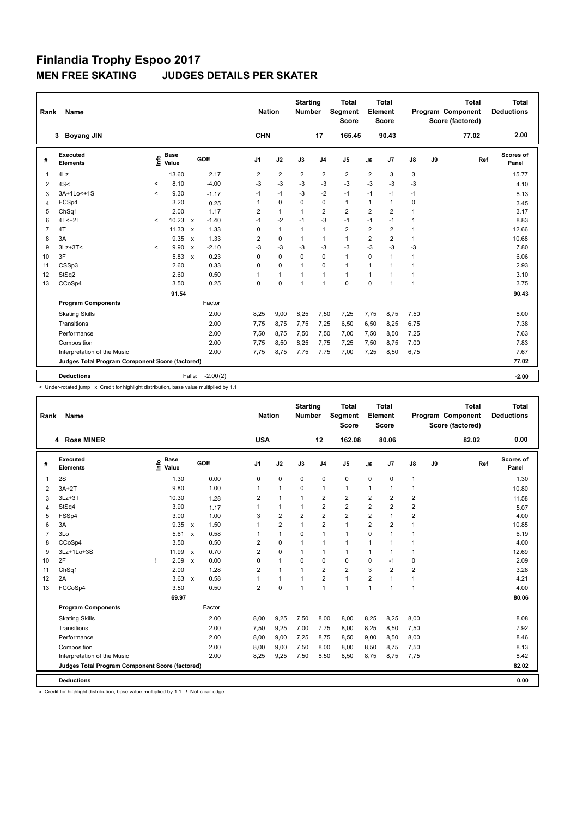| Name<br>Rank                                                                    | <b>Nation</b>  |                | <b>Starting</b><br><b>Number</b> |                | <b>Total</b><br>Segment<br><b>Score</b> |                | Total<br>Element<br><b>Score</b> |              |    | <b>Total</b><br>Program Component<br>Score (factored) | <b>Total</b><br><b>Deductions</b> |
|---------------------------------------------------------------------------------|----------------|----------------|----------------------------------|----------------|-----------------------------------------|----------------|----------------------------------|--------------|----|-------------------------------------------------------|-----------------------------------|
| <b>Boyang JIN</b><br>3                                                          | <b>CHN</b>     |                |                                  | 17             | 165.45                                  |                | 90.43                            |              |    | 77.02                                                 | 2.00                              |
| Executed<br><b>Base</b><br>۴۵<br>GOE<br>#<br><b>Elements</b><br>Value           | J <sub>1</sub> | J2             | J3                               | J <sub>4</sub> | J <sub>5</sub>                          | J6             | J7                               | J8           | J9 | Ref                                                   | Scores of<br>Panel                |
| 4Lz<br>13.60<br>2.17<br>1                                                       | $\overline{2}$ | $\overline{2}$ | $\overline{2}$                   | $\overline{2}$ | $\overline{2}$                          | $\overline{2}$ | 3                                | 3            |    |                                                       | 15.77                             |
| $-4.00$<br>8.10<br>4S<<br>$\prec$<br>2                                          | $-3$           | $-3$           | $-3$                             | $-3$           | $-3$                                    | -3             | -3                               | $-3$         |    |                                                       | 4.10                              |
| 3A+1Lo<+1S<br>9.30<br>$\prec$<br>$-1.17$<br>3                                   | $-1$           | $-1$           | $-3$                             | $-2$           | $-1$                                    | $-1$           | $-1$                             | $-1$         |    |                                                       | 8.13                              |
| FCSp4<br>3.20<br>0.25<br>4                                                      | $\mathbf{1}$   | $\mathbf 0$    | $\Omega$                         | $\Omega$       | $\mathbf{1}$                            | $\mathbf{1}$   | $\mathbf{1}$                     | $\mathbf 0$  |    |                                                       | 3.45                              |
| 2.00<br>1.17<br>5<br>ChSq1                                                      | $\overline{2}$ | $\mathbf{1}$   | $\mathbf{1}$                     | $\overline{2}$ | $\overline{2}$                          | $\overline{2}$ | $\overline{2}$                   | $\mathbf{1}$ |    |                                                       | 3.17                              |
| 10.23<br>6<br>$4T < +2T$<br>$-1.40$<br>$\overline{\phantom{a}}$<br>$\mathbf{x}$ | $-1$           | $-2$           | $-1$                             | $-3$           | $-1$                                    | $-1$           | $-1$                             | $\mathbf{1}$ |    |                                                       | 8.83                              |
| $\overline{7}$<br>4T<br>11.33<br>1.33<br>$\boldsymbol{\mathsf{x}}$              | 0              | $\mathbf{1}$   | 1                                | $\mathbf{1}$   | $\overline{2}$                          | $\overline{2}$ | $\overline{2}$                   | $\mathbf{1}$ |    |                                                       | 12.66                             |
| 3A<br>9.35<br>1.33<br>8<br>$\boldsymbol{\mathsf{x}}$                            | $\overline{2}$ | $\Omega$       | 1                                | $\mathbf{1}$   | $\mathbf{1}$                            | $\overline{2}$ | $\overline{2}$                   | $\mathbf{1}$ |    |                                                       | 10.68                             |
| 9<br>$3Lz + 3T <$<br>9.90<br>$-2.10$<br>$\boldsymbol{\mathsf{x}}$<br>$\prec$    | $-3$           | $-3$           | $-3$                             | $-3$           | $-3$                                    | $-3$           | -3                               | $-3$         |    |                                                       | 7.80                              |
| 3F<br>5.83<br>0.23<br>10<br>$\boldsymbol{x}$                                    | 0              | 0              | 0                                | 0              | $\mathbf{1}$                            | $\Omega$       | $\mathbf{1}$                     | $\mathbf{1}$ |    |                                                       | 6.06                              |
| CSSp3<br>0.33<br>2.60<br>11                                                     | 0              | $\Omega$       | 1                                | $\Omega$       | $\mathbf{1}$                            | $\mathbf{1}$   | 1                                | $\mathbf{1}$ |    |                                                       | 2.93                              |
| StSq2<br>2.60<br>0.50<br>12                                                     | $\mathbf{1}$   | $\mathbf{1}$   | 1                                | $\mathbf{1}$   | $\overline{1}$                          | $\mathbf{1}$   | 1                                | $\mathbf{1}$ |    |                                                       | 3.10                              |
| CCoSp4<br>0.25<br>13<br>3.50                                                    | 0              | $\mathbf 0$    | $\overline{1}$                   | $\mathbf{1}$   | $\Omega$                                | $\Omega$       | 1                                | $\mathbf{1}$ |    |                                                       | 3.75                              |
| 91.54                                                                           |                |                |                                  |                |                                         |                |                                  |              |    |                                                       | 90.43                             |
| <b>Program Components</b><br>Factor                                             |                |                |                                  |                |                                         |                |                                  |              |    |                                                       |                                   |
| 2.00<br><b>Skating Skills</b>                                                   | 8,25           | 9,00           | 8,25                             | 7,50           | 7,25                                    | 7,75           | 8.75                             | 7,50         |    |                                                       | 8.00                              |
| Transitions<br>2.00                                                             | 7.75           | 8.75           | 7.75                             | 7.25           | 6,50                                    | 6,50           | 8,25                             | 6,75         |    |                                                       | 7.38                              |
| Performance<br>2.00                                                             | 7,50           | 8,75           | 7,50                             | 7,50           | 7,00                                    | 7,50           | 8,50                             | 7,25         |    |                                                       | 7.63                              |
| 2.00<br>Composition                                                             | 7,75           | 8,50           | 8,25                             | 7,75           | 7,25                                    | 7,50           | 8.75                             | 7,00         |    |                                                       | 7.83                              |
| 2.00<br>Interpretation of the Music                                             | 7.75           | 8,75           | 7,75                             | 7.75           | 7,00                                    | 7,25           | 8,50                             | 6,75         |    |                                                       | 7.67                              |
| Judges Total Program Component Score (factored)                                 |                |                |                                  |                |                                         |                |                                  |              |    |                                                       | 77.02                             |
| <b>Deductions</b><br>$-2.00(2)$<br>Falls:                                       |                |                |                                  |                |                                         |                |                                  |              |    |                                                       | $-2.00$                           |

< Under-rotated jump x Credit for highlight distribution, base value multiplied by 1.1

| Rank           | Name                                            |                                  |              |                        | <b>Nation</b>  | <b>Starting</b><br>Number |                         | <b>Total</b><br>Segment<br><b>Score</b> |                | <b>Total</b><br>Element<br><b>Score</b> |                         |    | <b>Total</b><br>Program Component<br>Score (factored) | <b>Total</b><br><b>Deductions</b> |
|----------------|-------------------------------------------------|----------------------------------|--------------|------------------------|----------------|---------------------------|-------------------------|-----------------------------------------|----------------|-----------------------------------------|-------------------------|----|-------------------------------------------------------|-----------------------------------|
|                | 4 Ross MINER                                    |                                  |              | <b>USA</b>             |                |                           | 12                      | 162.08                                  |                | 80.06                                   |                         |    | 82.02                                                 | 0.00                              |
| #              | Executed<br><b>Elements</b>                     | <b>Base</b><br>e Base<br>E Value | GOE          | J <sub>1</sub>         | J2             | J3                        | J <sub>4</sub>          | J <sub>5</sub>                          | J6             | J7                                      | J8                      | J9 | Ref                                                   | Scores of<br>Panel                |
| 1              | 2S                                              | 1.30                             |              | 0.00<br>0              | $\mathbf 0$    | 0                         | $\mathbf 0$             | $\mathbf 0$                             | 0              | 0                                       | $\mathbf{1}$            |    |                                                       | 1.30                              |
| 2              | $3A+2T$                                         | 9.80                             |              | 1.00<br>1              | $\mathbf{1}$   | $\mathbf 0$               | $\overline{1}$          | $\mathbf{1}$                            | $\mathbf{1}$   | 1                                       | $\mathbf{1}$            |    |                                                       | 10.80                             |
| 3              | $3Lz + 3T$                                      | 10.30                            |              | $\overline{2}$<br>1.28 | $\mathbf{1}$   | $\mathbf{1}$              | $\overline{2}$          | $\overline{2}$                          | $\overline{2}$ | $\overline{2}$                          | $\overline{\mathbf{c}}$ |    |                                                       | 11.58                             |
| $\overline{4}$ | StSq4                                           | 3.90                             |              | 1<br>1.17              | $\mathbf{1}$   | $\overline{1}$            | $\overline{2}$          | $\overline{2}$                          | $\overline{2}$ | $\overline{2}$                          | $\overline{2}$          |    |                                                       | 5.07                              |
| 5              | FSSp4                                           | 3.00                             |              | 1.00<br>3              | $\overline{2}$ | $\overline{2}$            | $\overline{2}$          | $\overline{2}$                          | $\overline{2}$ | $\mathbf{1}$                            | $\overline{\mathbf{c}}$ |    |                                                       | 4.00                              |
| 6              | 3A                                              | 9.35                             | $\mathsf{x}$ | 1.50<br>1              | $\overline{2}$ | $\overline{1}$            | $\overline{2}$          | $\mathbf{1}$                            | $\overline{2}$ | $\overline{2}$                          | $\mathbf{1}$            |    |                                                       | 10.85                             |
| 7              | 3Lo                                             | 5.61                             | $\mathsf{x}$ | 0.58<br>1              | $\mathbf{1}$   | 0                         | $\overline{1}$          | $\mathbf{1}$                            | 0              | $\mathbf{1}$                            | $\mathbf{1}$            |    |                                                       | 6.19                              |
| 8              | CCoSp4                                          | 3.50                             |              | 0.50<br>2              | $\mathbf 0$    | 1                         | $\mathbf{1}$            | $\mathbf{1}$                            | $\mathbf{1}$   | $\mathbf{1}$                            | 1                       |    |                                                       | 4.00                              |
| 9              | 3Lz+1Lo+3S                                      | 11.99                            | $\mathsf{x}$ | 0.70<br>$\overline{2}$ | $\mathbf 0$    | $\mathbf{1}$              | $\overline{1}$          | $\mathbf{1}$                            | $\mathbf{1}$   | 1                                       | $\mathbf{1}$            |    |                                                       | 12.69                             |
| 10             | 2F                                              | 2.09<br>ı                        | $\mathsf{x}$ | 0.00<br>0              | $\mathbf{1}$   | 0                         | 0                       | $\mathbf 0$                             | 0              | $-1$                                    | 0                       |    |                                                       | 2.09                              |
| 11             | ChSq1                                           | 2.00                             |              | 1.28<br>2              | $\mathbf{1}$   | 1                         | $\overline{\mathbf{c}}$ | $\overline{2}$                          | 3              | $\overline{2}$                          | $\overline{\mathbf{c}}$ |    |                                                       | 3.28                              |
| 12             | 2A                                              | 3.63                             | $\mathsf{x}$ | 0.58<br>1              | $\mathbf{1}$   | 1                         | $\overline{2}$          | $\mathbf{1}$                            | $\overline{2}$ | $\mathbf{1}$                            | $\mathbf{1}$            |    |                                                       | 4.21                              |
| 13             | FCCoSp4                                         | 3.50                             |              | $\overline{2}$<br>0.50 | $\mathbf 0$    | $\overline{1}$            | $\overline{1}$          | $\mathbf{1}$                            | 1              | $\mathbf{1}$                            | $\mathbf{1}$            |    |                                                       | 4.00                              |
|                |                                                 | 69.97                            |              |                        |                |                           |                         |                                         |                |                                         |                         |    |                                                       | 80.06                             |
|                | <b>Program Components</b>                       |                                  | Factor       |                        |                |                           |                         |                                         |                |                                         |                         |    |                                                       |                                   |
|                | <b>Skating Skills</b>                           |                                  |              | 2.00<br>8,00           | 9,25           | 7,50                      | 8,00                    | 8,00                                    | 8,25           | 8,25                                    | 8,00                    |    |                                                       | 8.08                              |
|                | Transitions                                     |                                  |              | 2.00<br>7,50           | 9,25           | 7,00                      | 7,75                    | 8,00                                    | 8,25           | 8,50                                    | 7,50                    |    |                                                       | 7.92                              |
|                | Performance                                     |                                  |              | 2.00<br>8,00           | 9,00           | 7,25                      | 8,75                    | 8,50                                    | 9,00           | 8,50                                    | 8,00                    |    |                                                       | 8.46                              |
|                | Composition                                     |                                  |              | 2.00<br>8,00           | 9,00           | 7,50                      | 8,00                    | 8,00                                    | 8,50           | 8,75                                    | 7,50                    |    |                                                       | 8.13                              |
|                | Interpretation of the Music                     |                                  |              | 2.00<br>8,25           | 9,25           | 7,50                      | 8,50                    | 8,50                                    | 8,75           | 8,75                                    | 7,75                    |    |                                                       | 8.42                              |
|                | Judges Total Program Component Score (factored) |                                  |              |                        |                |                           |                         |                                         |                |                                         |                         |    |                                                       | 82.02                             |
|                |                                                 |                                  |              |                        |                |                           |                         |                                         |                |                                         |                         |    |                                                       |                                   |
|                | <b>Deductions</b>                               |                                  |              |                        |                |                           |                         |                                         |                |                                         |                         |    |                                                       | 0.00                              |

x Credit for highlight distribution, base value multiplied by 1.1 ! Not clear edge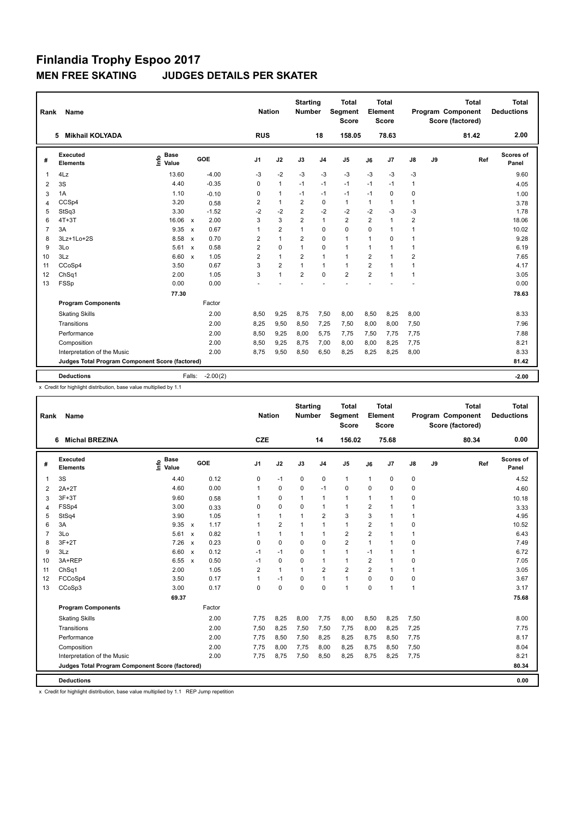| Rank           | <b>Name</b>                                     |                           |                                   |                | <b>Nation</b>  | <b>Starting</b><br><b>Number</b> |                | <b>Total</b><br>Segment<br><b>Score</b> |                | <b>Total</b><br>Element<br><b>Score</b> |                         |    | <b>Total</b><br>Program Component<br>Score (factored) | <b>Total</b><br><b>Deductions</b> |
|----------------|-------------------------------------------------|---------------------------|-----------------------------------|----------------|----------------|----------------------------------|----------------|-----------------------------------------|----------------|-----------------------------------------|-------------------------|----|-------------------------------------------------------|-----------------------------------|
|                | <b>Mikhail KOLYADA</b><br>5                     |                           |                                   | <b>RUS</b>     |                |                                  | 18             | 158.05                                  |                | 78.63                                   |                         |    | 81.42                                                 | 2.00                              |
| #              | Executed<br><b>Elements</b>                     | <b>Base</b><br>۴<br>Value | GOE                               | J <sub>1</sub> | J2             | J3                               | J <sub>4</sub> | J <sub>5</sub>                          | J6             | J7                                      | J8                      | J9 | Ref                                                   | Scores of<br>Panel                |
| 1              | 4Lz                                             | 13.60                     | $-4.00$                           | -3             | $-2$           | $-3$                             | $-3$           | $-3$                                    | $-3$           | $-3$                                    | $-3$                    |    |                                                       | 9.60                              |
| 2              | 3S                                              | 4.40                      | $-0.35$                           | 0              | $\mathbf{1}$   | $-1$                             | $-1$           | $-1$                                    | $-1$           | $-1$                                    | $\mathbf{1}$            |    |                                                       | 4.05                              |
| 3              | 1A                                              | 1.10                      | $-0.10$                           | 0              | $\mathbf{1}$   | $-1$                             | $-1$           | $-1$                                    | $-1$           | 0                                       | 0                       |    |                                                       | 1.00                              |
| 4              | CCSp4                                           | 3.20                      | 0.58                              | 2              | $\mathbf{1}$   | 2                                | 0              | $\mathbf{1}$                            | $\mathbf{1}$   | 1                                       | $\mathbf{1}$            |    |                                                       | 3.78                              |
| 5              | StSq3                                           | 3.30                      | $-1.52$                           | $-2$           | $-2$           | $\overline{2}$                   | $-2$           | $-2$                                    | $-2$           | $-3$                                    | -3                      |    |                                                       | 1.78                              |
| 6              | $4T+3T$                                         | 16.06                     | 2.00<br>$\mathsf{x}$              | 3              | 3              | $\overline{2}$                   | $\overline{1}$ | $\overline{2}$                          | $\overline{2}$ | 1                                       | $\overline{2}$          |    |                                                       | 18.06                             |
| $\overline{7}$ | 3A                                              | 9.35                      | 0.67<br>$\boldsymbol{\mathsf{x}}$ | 1              | $\overline{2}$ | 1                                | 0              | $\mathbf 0$                             | $\Omega$       | $\mathbf{1}$                            | $\mathbf{1}$            |    |                                                       | 10.02                             |
| 8              | 3Lz+1Lo+2S                                      | 8.58                      | 0.70<br>$\boldsymbol{\mathsf{x}}$ | 2              | $\mathbf{1}$   | $\overline{\mathbf{c}}$          | $\mathbf 0$    | $\mathbf{1}$                            | $\mathbf{1}$   | 0                                       | $\mathbf{1}$            |    |                                                       | 9.28                              |
| 9              | 3Lo                                             | 5.61                      | 0.58<br>$\boldsymbol{\mathsf{x}}$ | 2              | 0              | 1                                | 0              | $\mathbf{1}$                            | $\mathbf{1}$   | 1                                       | $\mathbf{1}$            |    |                                                       | 6.19                              |
| 10             | 3Lz                                             | 6.60                      | 1.05<br>$\boldsymbol{\mathsf{x}}$ | $\overline{2}$ | $\mathbf{1}$   | $\overline{2}$                   | $\mathbf{1}$   | $\mathbf{1}$                            | $\overline{2}$ | 1                                       | $\overline{\mathbf{c}}$ |    |                                                       | 7.65                              |
| 11             | CCoSp4                                          | 3.50                      | 0.67                              | 3              | $\overline{2}$ | $\overline{1}$                   | $\mathbf{1}$   | $\mathbf{1}$                            | $\overline{2}$ | $\blacktriangleleft$                    | $\mathbf{1}$            |    |                                                       | 4.17                              |
| 12             | ChSq1                                           | 2.00                      | 1.05                              | 3              | $\overline{1}$ | $\overline{2}$                   | $\Omega$       | $\overline{2}$                          | $\overline{2}$ |                                         | $\mathbf{1}$            |    |                                                       | 3.05                              |
| 13             | FSSp                                            | 0.00                      | 0.00                              |                |                |                                  |                |                                         |                |                                         |                         |    |                                                       | 0.00                              |
|                |                                                 | 77.30                     |                                   |                |                |                                  |                |                                         |                |                                         |                         |    |                                                       | 78.63                             |
|                | <b>Program Components</b>                       |                           | Factor                            |                |                |                                  |                |                                         |                |                                         |                         |    |                                                       |                                   |
|                | <b>Skating Skills</b>                           |                           | 2.00                              | 8,50           | 9,25           | 8.75                             | 7,50           | 8,00                                    | 8,50           | 8,25                                    | 8,00                    |    |                                                       | 8.33                              |
|                | Transitions                                     |                           | 2.00                              | 8,25           | 9,50           | 8,50                             | 7,25           | 7,50                                    | 8,00           | 8,00                                    | 7,50                    |    |                                                       | 7.96                              |
|                | Performance                                     |                           | 2.00                              | 8,50           | 9,25           | 8,00                             | 5,75           | 7,75                                    | 7,50           | 7,75                                    | 7,75                    |    |                                                       | 7.88                              |
|                | Composition                                     |                           | 2.00                              | 8,50           | 9,25           | 8,75                             | 7,00           | 8,00                                    | 8,00           | 8,25                                    | 7,75                    |    |                                                       | 8.21                              |
|                | Interpretation of the Music                     |                           | 2.00                              | 8,75           | 9,50           | 8,50                             | 6,50           | 8,25                                    | 8,25           | 8,25                                    | 8,00                    |    |                                                       | 8.33                              |
|                | Judges Total Program Component Score (factored) |                           |                                   |                |                |                                  |                |                                         |                |                                         |                         |    |                                                       | 81.42                             |
|                | <b>Deductions</b>                               |                           | $-2.00(2)$<br>Falls:              |                |                |                                  |                |                                         |                |                                         |                         |    |                                                       | $-2.00$                           |

x Credit for highlight distribution, base value multiplied by 1.1

| Rank           | Name                                            |                                       |                           |        |                | <b>Nation</b>  | <b>Starting</b><br>Number |                | <b>Total</b><br>Segment<br><b>Score</b> |                | <b>Total</b><br>Element<br><b>Score</b> |              |    | <b>Total</b><br>Program Component<br>Score (factored) | <b>Total</b><br><b>Deductions</b> |
|----------------|-------------------------------------------------|---------------------------------------|---------------------------|--------|----------------|----------------|---------------------------|----------------|-----------------------------------------|----------------|-----------------------------------------|--------------|----|-------------------------------------------------------|-----------------------------------|
|                | <b>Michal BREZINA</b><br>6                      |                                       |                           |        | <b>CZE</b>     |                |                           | 14             | 156.02                                  |                | 75.68                                   |              |    | 80.34                                                 | 0.00                              |
| #              | Executed<br><b>Elements</b>                     | <b>Base</b><br>$\sum_{i=1}^{6}$ Value |                           | GOE    | J <sub>1</sub> | J2             | J3                        | J <sub>4</sub> | J <sub>5</sub>                          | J6             | J7                                      | J8           | J9 | Ref                                                   | Scores of<br>Panel                |
| 1              | 3S                                              | 4.40                                  |                           | 0.12   | 0              | $-1$           | 0                         | $\mathbf 0$    | $\mathbf{1}$                            | $\mathbf{1}$   | 0                                       | 0            |    |                                                       | 4.52                              |
| 2              | $2A+2T$                                         | 4.60                                  |                           | 0.00   | $\mathbf{1}$   | $\mathbf 0$    | $\mathbf 0$               | $-1$           | $\mathbf 0$                             | $\mathbf 0$    | 0                                       | 0            |    |                                                       | 4.60                              |
| 3              | $3F+3T$                                         | 9.60                                  |                           | 0.58   | $\mathbf{1}$   | $\mathbf 0$    | $\mathbf{1}$              | $\mathbf{1}$   | $\mathbf{1}$                            | $\mathbf{1}$   | $\overline{1}$                          | 0            |    |                                                       | 10.18                             |
| $\overline{4}$ | FSSp4                                           | 3.00                                  |                           | 0.33   | 0              | $\mathbf 0$    | $\mathbf 0$               | $\overline{1}$ | $\mathbf{1}$                            | $\overline{2}$ | 1                                       | 1            |    |                                                       | 3.33                              |
| 5              | StSq4                                           | 3.90                                  |                           | 1.05   | $\mathbf{1}$   | $\mathbf{1}$   | $\overline{1}$            | $\overline{2}$ | 3                                       | 3              | $\overline{1}$                          | $\mathbf{1}$ |    |                                                       | 4.95                              |
| 6              | 3A                                              | 9.35                                  | $\mathsf{x}$              | 1.17   | $\mathbf{1}$   | $\overline{2}$ | $\overline{1}$            | $\mathbf{1}$   | $\mathbf{1}$                            | $\overline{2}$ | $\blacktriangleleft$                    | 0            |    |                                                       | 10.52                             |
| $\overline{7}$ | 3Lo                                             | 5.61                                  | $\boldsymbol{\mathsf{x}}$ | 0.82   | 1              | $\mathbf{1}$   | 1                         | $\overline{1}$ | $\overline{2}$                          | $\overline{2}$ | 1                                       | 1            |    |                                                       | 6.43                              |
| 8              | $3F+2T$                                         | 7.26                                  | $\boldsymbol{\mathsf{x}}$ | 0.23   | 0              | $\mathbf 0$    | 0                         | $\mathbf 0$    | $\overline{2}$                          | $\mathbf{1}$   | 1                                       | 0            |    |                                                       | 7.49                              |
| 9              | 3Lz                                             | 6.60                                  | $\mathbf{x}$              | 0.12   | $-1$           | $-1$           | $\Omega$                  | $\mathbf{1}$   | $\mathbf{1}$                            | $-1$           | $\mathbf 1$                             | $\mathbf{1}$ |    |                                                       | 6.72                              |
| 10             | 3A+REP                                          | 6.55                                  | $\mathsf{x}$              | 0.50   | -1             | $\mathbf 0$    | $\mathbf 0$               | $\mathbf{1}$   | $\mathbf{1}$                            | $\overline{2}$ | $\mathbf 1$                             | 0            |    |                                                       | 7.05                              |
| 11             | ChSq1                                           | 2.00                                  |                           | 1.05   | $\overline{2}$ | $\mathbf{1}$   | 1                         | $\overline{2}$ | $\overline{2}$                          | $\overline{2}$ | 1                                       | 1            |    |                                                       | 3.05                              |
| 12             | FCCoSp4                                         | 3.50                                  |                           | 0.17   | $\mathbf{1}$   | $-1$           | 0                         | $\mathbf{1}$   | $\mathbf{1}$                            | $\mathbf 0$    | $\mathbf 0$                             | $\mathbf 0$  |    |                                                       | 3.67                              |
| 13             | CCoSp3                                          | 3.00                                  |                           | 0.17   | 0              | $\mathbf 0$    | $\mathbf 0$               | $\mathbf 0$    | $\mathbf{1}$                            | $\mathbf 0$    | 1                                       | 1            |    |                                                       | 3.17                              |
|                |                                                 | 69.37                                 |                           |        |                |                |                           |                |                                         |                |                                         |              |    |                                                       | 75.68                             |
|                | <b>Program Components</b>                       |                                       |                           | Factor |                |                |                           |                |                                         |                |                                         |              |    |                                                       |                                   |
|                | <b>Skating Skills</b>                           |                                       |                           | 2.00   | 7,75           | 8,25           | 8,00                      | 7,75           | 8,00                                    | 8,50           | 8,25                                    | 7,50         |    |                                                       | 8.00                              |
|                | Transitions                                     |                                       |                           | 2.00   | 7,50           | 8,25           | 7,50                      | 7,50           | 7,75                                    | 8,00           | 8,25                                    | 7,25         |    |                                                       | 7.75                              |
|                | Performance                                     |                                       |                           | 2.00   | 7,75           | 8,50           | 7,50                      | 8,25           | 8,25                                    | 8,75           | 8,50                                    | 7,75         |    |                                                       | 8.17                              |
|                | Composition                                     |                                       |                           | 2.00   | 7.75           | 8,00           | 7,75                      | 8,00           | 8,25                                    | 8,75           | 8,50                                    | 7,50         |    |                                                       | 8.04                              |
|                | Interpretation of the Music                     |                                       |                           | 2.00   | 7,75           | 8,75           | 7,50                      | 8,50           | 8,25                                    | 8,75           | 8,25                                    | 7,75         |    |                                                       | 8.21                              |
|                | Judges Total Program Component Score (factored) |                                       |                           |        |                |                |                           |                |                                         |                |                                         |              |    |                                                       | 80.34                             |
|                |                                                 |                                       |                           |        |                |                |                           |                |                                         |                |                                         |              |    |                                                       |                                   |
|                | <b>Deductions</b>                               |                                       |                           |        |                |                |                           |                |                                         |                |                                         |              |    |                                                       | 0.00                              |

x Credit for highlight distribution, base value multiplied by 1.1 REP Jump repetition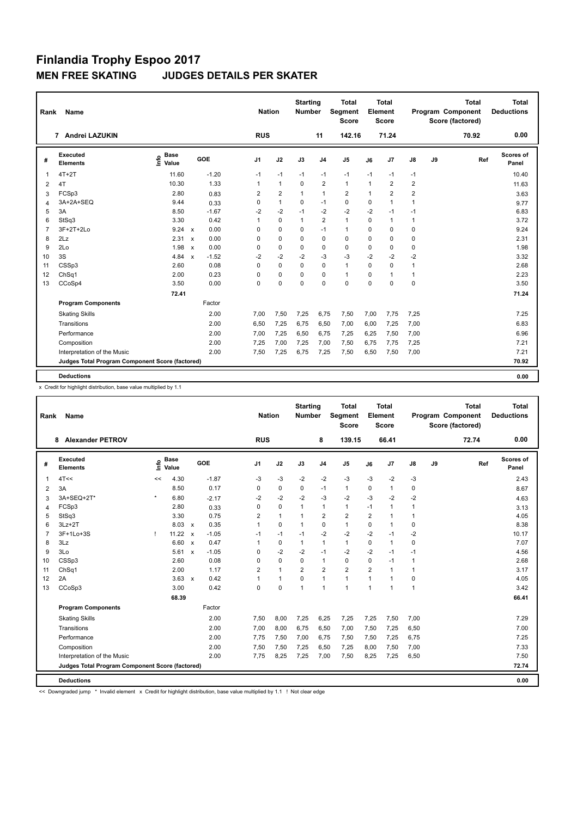| Rank | Name                                            |                              |                         | <b>Nation</b>  |                | <b>Starting</b><br><b>Number</b> |                | <b>Total</b><br>Segment<br><b>Score</b> |              | <b>Total</b><br>Element<br><b>Score</b> |                         |    | <b>Total</b><br>Program Component<br>Score (factored) | <b>Total</b><br><b>Deductions</b> |
|------|-------------------------------------------------|------------------------------|-------------------------|----------------|----------------|----------------------------------|----------------|-----------------------------------------|--------------|-----------------------------------------|-------------------------|----|-------------------------------------------------------|-----------------------------------|
|      | 7 Andrei LAZUKIN                                |                              |                         | <b>RUS</b>     |                |                                  | 11             | 142.16                                  |              | 71.24                                   |                         |    | 70.92                                                 | 0.00                              |
| #    | Executed<br><b>Elements</b>                     | <b>Base</b><br>١nfo<br>Value | GOE                     | J <sub>1</sub> | J2             | J3                               | J <sub>4</sub> | J <sub>5</sub>                          | J6           | J7                                      | J8                      | J9 | Ref                                                   | Scores of<br>Panel                |
| -1   | $4T+2T$                                         | 11.60                        | $-1.20$                 | $-1$           | $-1$           | $-1$                             | $-1$           | -1                                      | $-1$         | $-1$                                    | $-1$                    |    |                                                       | 10.40                             |
| 2    | 4T                                              | 10.30                        | 1.33                    | $\mathbf{1}$   | $\mathbf{1}$   | $\mathbf 0$                      | $\overline{2}$ | $\mathbf{1}$                            | $\mathbf{1}$ | 2                                       | $\overline{\mathbf{c}}$ |    |                                                       | 11.63                             |
| 3    | FCSp3                                           | 2.80                         | 0.83                    | 2              | $\overline{2}$ | $\mathbf{1}$                     | $\overline{1}$ | $\overline{2}$                          | $\mathbf{1}$ | $\overline{2}$                          | $\overline{2}$          |    |                                                       | 3.63                              |
| 4    | 3A+2A+SEQ                                       | 9.44                         | 0.33                    | 0              | $\mathbf{1}$   | 0                                | $-1$           | 0                                       | $\mathbf 0$  | 1                                       | 1                       |    |                                                       | 9.77                              |
| 5    | 3A                                              | 8.50                         | $-1.67$                 | $-2$           | $-2$           | $-1$                             | $-2$           | $-2$                                    | $-2$         | $-1$                                    | $-1$                    |    |                                                       | 6.83                              |
| 6    | StSq3                                           | 3.30                         | 0.42                    | 1              | $\Omega$       | $\mathbf{1}$                     | $\overline{2}$ | $\mathbf{1}$                            | $\Omega$     | $\blacktriangleleft$                    | 1                       |    |                                                       | 3.72                              |
| 7    | 3F+2T+2Lo                                       | 9.24 x                       | 0.00                    | 0              | $\mathbf 0$    | 0                                | $-1$           | $\mathbf{1}$                            | $\Omega$     | 0                                       | 0                       |    |                                                       | 9.24                              |
| 8    | 2Lz                                             | 2.31                         | 0.00<br>$\mathsf{x}$    | 0              | 0              | 0                                | $\mathbf 0$    | $\mathbf 0$                             | $\mathbf 0$  | 0                                       | 0                       |    |                                                       | 2.31                              |
| 9    | 2Lo                                             | 1.98                         | 0.00<br>$\mathsf{x}$    | 0              | $\mathbf 0$    | $\mathbf 0$                      | $\pmb{0}$      | 0                                       | $\mathbf 0$  | 0                                       | 0                       |    |                                                       | 1.98                              |
| 10   | 3S                                              | 4.84                         | $-1.52$<br>$\mathsf{x}$ | $-2$           | $-2$           | $-2$                             | $-3$           | $-3$                                    | $-2$         | $-2$                                    | $-2$                    |    |                                                       | 3.32                              |
| 11   | CSSp3                                           | 2.60                         | 0.08                    | 0              | $\mathbf 0$    | $\mathbf 0$                      | $\mathbf 0$    | $\mathbf{1}$                            | $\Omega$     | $\mathbf 0$                             | $\mathbf{1}$            |    |                                                       | 2.68                              |
| 12   | ChSq1                                           | 2.00                         | 0.23                    | 0              | $\mathbf 0$    | $\mathbf 0$                      | $\mathbf 0$    | $\mathbf{1}$                            | $\mathbf 0$  | $\mathbf 1$                             | 1                       |    |                                                       | 2.23                              |
| 13   | CCoSp4                                          | 3.50                         | 0.00                    | 0              | $\mathbf 0$    | $\mathbf 0$                      | $\mathbf 0$    | $\mathbf 0$                             | $\mathbf 0$  | $\Omega$                                | 0                       |    |                                                       | 3.50                              |
|      |                                                 | 72.41                        |                         |                |                |                                  |                |                                         |              |                                         |                         |    |                                                       | 71.24                             |
|      | <b>Program Components</b>                       |                              | Factor                  |                |                |                                  |                |                                         |              |                                         |                         |    |                                                       |                                   |
|      | <b>Skating Skills</b>                           |                              | 2.00                    | 7,00           | 7,50           | 7,25                             | 6,75           | 7,50                                    | 7,00         | 7,75                                    | 7,25                    |    |                                                       | 7.25                              |
|      | Transitions                                     |                              | 2.00                    | 6,50           | 7,25           | 6,75                             | 6,50           | 7,00                                    | 6,00         | 7,25                                    | 7,00                    |    |                                                       | 6.83                              |
|      | Performance                                     |                              | 2.00                    | 7,00           | 7,25           | 6,50                             | 6,75           | 7,25                                    | 6,25         | 7,50                                    | 7,00                    |    |                                                       | 6.96                              |
|      | Composition                                     |                              | 2.00                    | 7,25           | 7,00           | 7,25                             | 7,00           | 7,50                                    | 6,75         | 7,75                                    | 7,25                    |    |                                                       | 7.21                              |
|      | Interpretation of the Music                     |                              | 2.00                    | 7,50           | 7,25           | 6,75                             | 7,25           | 7,50                                    | 6,50         | 7,50                                    | 7,00                    |    |                                                       | 7.21                              |
|      | Judges Total Program Component Score (factored) |                              |                         |                |                |                                  |                |                                         |              |                                         |                         |    |                                                       | 70.92                             |
|      | <b>Deductions</b>                               |                              |                         |                |                |                                  |                |                                         |              |                                         |                         |    |                                                       | 0.00                              |

x Credit for highlight distribution, base value multiplied by 1.1

| Rank           | Name                                            |         |                      |                           |         |                | <b>Nation</b> |                | <b>Starting</b><br><b>Number</b> | <b>Total</b><br>Segment<br><b>Score</b> |                      | Total<br>Element<br><b>Score</b> |               |    | <b>Total</b><br>Program Component<br>Score (factored) | <b>Total</b><br><b>Deductions</b> |
|----------------|-------------------------------------------------|---------|----------------------|---------------------------|---------|----------------|---------------|----------------|----------------------------------|-----------------------------------------|----------------------|----------------------------------|---------------|----|-------------------------------------------------------|-----------------------------------|
|                | <b>Alexander PETROV</b><br>8                    |         |                      |                           |         | <b>RUS</b>     |               |                | 8                                | 139.15                                  |                      | 66.41                            |               |    | 72.74                                                 | 0.00                              |
| #              | Executed<br><b>Elements</b>                     | ١m      | <b>Base</b><br>Value |                           | GOE     | J <sub>1</sub> | J2            | J3             | J <sub>4</sub>                   | J <sub>5</sub>                          | J6                   | J7                               | $\mathsf{J}8$ | J9 | Ref                                                   | Scores of<br>Panel                |
| 1              | 4T<<                                            | <<      | 4.30                 |                           | $-1.87$ | -3             | $-3$          | $-2$           | $-2$                             | $-3$                                    | $-3$                 | $-2$                             | $-3$          |    |                                                       | 2.43                              |
| 2              | 3A                                              |         | 8.50                 |                           | 0.17    | 0              | $\mathbf 0$   | $\mathbf 0$    | $-1$                             | $\mathbf{1}$                            | $\mathbf 0$          | $\mathbf{1}$                     | $\mathbf 0$   |    |                                                       | 8.67                              |
| 3              | 3A+SEQ+2T*                                      | $\star$ | 6.80                 |                           | $-2.17$ | $-2$           | $-2$          | $-2$           | $-3$                             | $-2$                                    | $-3$                 | $-2$                             | $-2$          |    |                                                       | 4.63                              |
| $\overline{4}$ | FCSp3                                           |         | 2.80                 |                           | 0.33    | 0              | $\mathbf 0$   | $\mathbf{1}$   | $\mathbf{1}$                     | $\mathbf{1}$                            | $-1$                 | 1                                | 1             |    |                                                       | 3.13                              |
| 5              | StSq3                                           |         | 3.30                 |                           | 0.75    | $\overline{2}$ | $\mathbf{1}$  | $\overline{1}$ | $\overline{2}$                   | $\overline{2}$                          | $\overline{2}$       | $\overline{1}$                   | 1             |    |                                                       | 4.05                              |
| 6              | $3Lz + 2T$                                      |         | 8.03                 | $\mathbf{x}$              | 0.35    | $\mathbf{1}$   | $\Omega$      | $\mathbf{1}$   | $\mathbf 0$                      | $\mathbf{1}$                            | $\Omega$             | $\blacktriangleleft$             | 0             |    |                                                       | 8.38                              |
| $\overline{7}$ | 3F+1Lo+3S                                       | ı       | 11.22                | $\mathsf{x}$              | $-1.05$ | $-1$           | $-1$          | $-1$           | $-2$                             | $-2$                                    | $-2$                 | $-1$                             | $-2$          |    |                                                       | 10.17                             |
| 8              | 3Lz                                             |         | 6.60 x               |                           | 0.47    | 1              | $\mathbf 0$   | $\mathbf{1}$   | $\mathbf{1}$                     | $\mathbf{1}$                            | $\Omega$             | $\blacktriangleleft$             | $\mathbf 0$   |    |                                                       | 7.07                              |
| 9              | 3Lo                                             |         | 5.61                 | $\boldsymbol{\mathsf{x}}$ | $-1.05$ | 0              | $-2$          | $-2$           | $-1$                             | $-2$                                    | $-2$                 | $-1$                             | $-1$          |    |                                                       | 4.56                              |
| 10             | CSSp3                                           |         | 2.60                 |                           | 0.08    | 0              | $\mathbf 0$   | $\Omega$       | $\mathbf{1}$                     | $\mathbf 0$                             | $\Omega$             | $-1$                             | $\mathbf{1}$  |    |                                                       | 2.68                              |
| 11             | ChSq1                                           |         | 2.00                 |                           | 1.17    | $\overline{2}$ | $\mathbf{1}$  | $\overline{2}$ | $\overline{2}$                   | $\overline{2}$                          | $\overline{2}$       | $\blacktriangleleft$             | $\mathbf{1}$  |    |                                                       | 3.17                              |
| 12             | 2A                                              |         | 3.63                 | $\mathsf{x}$              | 0.42    | 1              | $\mathbf{1}$  | $\Omega$       | $\mathbf{1}$                     | $\mathbf{1}$                            | $\blacktriangleleft$ | $\overline{1}$                   | 0             |    |                                                       | 4.05                              |
| 13             | CCoSp3                                          |         | 3.00                 |                           | 0.42    | 0              | $\mathbf 0$   | 1              | $\overline{1}$                   | $\mathbf{1}$                            | $\mathbf{1}$         | 1                                | 1             |    |                                                       | 3.42                              |
|                |                                                 |         | 68.39                |                           |         |                |               |                |                                  |                                         |                      |                                  |               |    |                                                       | 66.41                             |
|                | <b>Program Components</b>                       |         |                      |                           | Factor  |                |               |                |                                  |                                         |                      |                                  |               |    |                                                       |                                   |
|                | <b>Skating Skills</b>                           |         |                      |                           | 2.00    | 7,50           | 8,00          | 7,25           | 6,25                             | 7,25                                    | 7,25                 | 7,50                             | 7,00          |    |                                                       | 7.29                              |
|                | Transitions                                     |         |                      |                           | 2.00    | 7,00           | 8,00          | 6,75           | 6,50                             | 7,00                                    | 7,50                 | 7,25                             | 6,50          |    |                                                       | 7.00                              |
|                | Performance                                     |         |                      |                           | 2.00    | 7.75           | 7,50          | 7,00           | 6.75                             | 7,50                                    | 7,50                 | 7.25                             | 6,75          |    |                                                       | 7.25                              |
|                | Composition                                     |         |                      |                           | 2.00    | 7,50           | 7,50          | 7,25           | 6,50                             | 7,25                                    | 8,00                 | 7,50                             | 7,00          |    |                                                       | 7.33                              |
|                | Interpretation of the Music                     |         |                      |                           | 2.00    | 7,75           | 8,25          | 7,25           | 7,00                             | 7,50                                    | 8,25                 | 7,25                             | 6,50          |    |                                                       | 7.50                              |
|                | Judges Total Program Component Score (factored) |         |                      |                           |         |                |               |                |                                  |                                         |                      |                                  |               |    |                                                       | 72.74                             |
|                |                                                 |         |                      |                           |         |                |               |                |                                  |                                         |                      |                                  |               |    |                                                       |                                   |
|                | <b>Deductions</b>                               |         |                      |                           |         |                |               |                |                                  |                                         |                      |                                  |               |    |                                                       | 0.00                              |

<< Downgraded jump \* Invalid element x Credit for highlight distribution, base value multiplied by 1.1 ! Not clear edge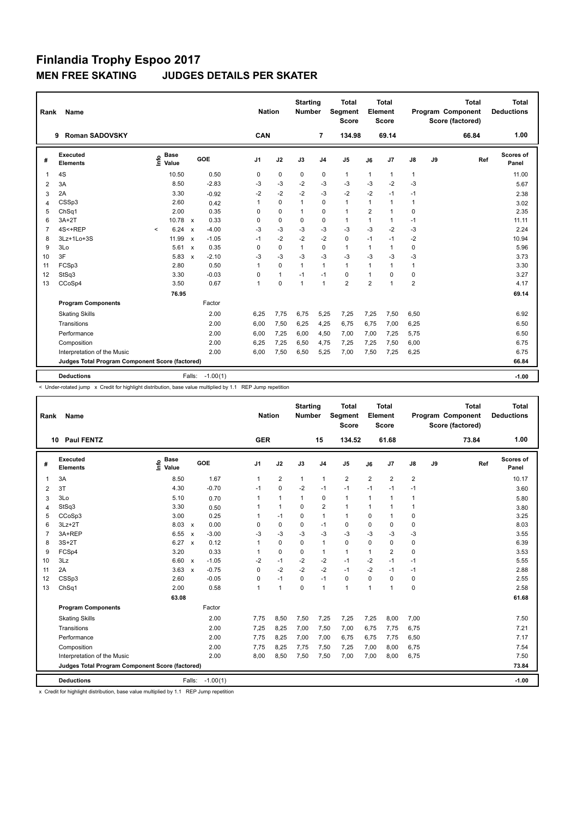| Rank           | Name                                            |                              |                                      | <b>Nation</b>  |              | <b>Starting</b><br><b>Number</b> |                | <b>Total</b><br>Segment<br><b>Score</b> |                | <b>Total</b><br>Element<br><b>Score</b> |                |    | <b>Total</b><br>Program Component<br>Score (factored) | <b>Total</b><br><b>Deductions</b> |
|----------------|-------------------------------------------------|------------------------------|--------------------------------------|----------------|--------------|----------------------------------|----------------|-----------------------------------------|----------------|-----------------------------------------|----------------|----|-------------------------------------------------------|-----------------------------------|
|                | <b>Roman SADOVSKY</b><br>9                      |                              |                                      | CAN            |              |                                  | 7              | 134.98                                  |                | 69.14                                   |                |    | 66.84                                                 | 1.00                              |
| #              | Executed<br><b>Elements</b>                     | <b>Base</b><br>lnfo<br>Value | GOE                                  | J <sub>1</sub> | J2           | J3                               | J <sub>4</sub> | J <sub>5</sub>                          | J6             | J7                                      | J8             | J9 | Ref                                                   | <b>Scores of</b><br>Panel         |
| $\mathbf 1$    | 4S                                              | 10.50                        | 0.50                                 | 0              | 0            | 0                                | 0              | $\mathbf{1}$                            | $\mathbf{1}$   | $\mathbf{1}$                            | $\mathbf{1}$   |    |                                                       | 11.00                             |
| 2              | 3A                                              | 8.50                         | $-2.83$                              | $-3$           | $-3$         | $-2$                             | $-3$           | $-3$                                    | $-3$           | $-2$                                    | $-3$           |    |                                                       | 5.67                              |
| 3              | 2A                                              | 3.30                         | $-0.92$                              | $-2$           | $-2$         | $-2$                             | $-3$           | $-2$                                    | $-2$           | $-1$                                    | $-1$           |    |                                                       | 2.38                              |
| 4              | CSSp3                                           | 2.60                         | 0.42                                 | 1              | $\mathbf 0$  | $\mathbf{1}$                     | 0              | $\mathbf{1}$                            | $\mathbf{1}$   | $\mathbf{1}$                            | $\mathbf{1}$   |    |                                                       | 3.02                              |
| 5              | ChSq1                                           | 2.00                         | 0.35                                 | 0              | 0            | 1                                | 0              | $\mathbf{1}$                            | $\overline{2}$ | $\mathbf{1}$                            | 0              |    |                                                       | 2.35                              |
| 6              | $3A+2T$                                         | 10.78                        | 0.33<br>$\mathbf{x}$                 | 0              | $\mathbf 0$  | $\Omega$                         | 0              | $\mathbf{1}$                            | $\mathbf{1}$   | $\mathbf{1}$                            | $-1$           |    |                                                       | 11.11                             |
| $\overline{7}$ | 4S<+REP                                         | 6.24<br>$\,<$                | $-4.00$<br>$\boldsymbol{\mathsf{x}}$ | $-3$           | $-3$         | $-3$                             | $-3$           | $-3$                                    | $-3$           | $-2$                                    | -3             |    |                                                       | 2.24                              |
| 8              | 3Lz+1Lo+3S                                      | 11.99                        | $-1.05$<br>$\mathbf{x}$              | $-1$           | $-2$         | $-2$                             | $-2$           | $\mathbf 0$                             | $-1$           | $-1$                                    | $-2$           |    |                                                       | 10.94                             |
| 9              | 3Lo                                             | 5.61                         | 0.35<br>$\boldsymbol{\mathsf{x}}$    | 0              | $\mathbf 0$  | $\mathbf{1}$                     | $\mathbf 0$    | $\mathbf{1}$                            | $\mathbf{1}$   | 1                                       | 0              |    |                                                       | 5.96                              |
| 10             | 3F                                              | 5.83                         | $-2.10$<br>$\boldsymbol{\mathsf{x}}$ | $-3$           | $-3$         | $-3$                             | $-3$           | $-3$                                    | $-3$           | $-3$                                    | $-3$           |    |                                                       | 3.73                              |
| 11             | FCSp3                                           | 2.80                         | 0.50                                 | 1              | $\mathbf 0$  | $\mathbf{1}$                     | $\overline{1}$ | $\mathbf{1}$                            | $\mathbf{1}$   | 1                                       | $\mathbf{1}$   |    |                                                       | 3.30                              |
| 12             | StSq3                                           | 3.30                         | $-0.03$                              | 0              | $\mathbf{1}$ | $-1$                             | $-1$           | $\mathbf 0$                             | $\mathbf{1}$   | $\Omega$                                | 0              |    |                                                       | 3.27                              |
| 13             | CCoSp4                                          | 3.50                         | 0.67                                 | 1              | $\mathbf 0$  | $\overline{1}$                   | $\overline{1}$ | $\overline{2}$                          | $\overline{2}$ | 1                                       | $\overline{2}$ |    |                                                       | 4.17                              |
|                |                                                 | 76.95                        |                                      |                |              |                                  |                |                                         |                |                                         |                |    |                                                       | 69.14                             |
|                | <b>Program Components</b>                       |                              | Factor                               |                |              |                                  |                |                                         |                |                                         |                |    |                                                       |                                   |
|                | <b>Skating Skills</b>                           |                              | 2.00                                 | 6.25           | 7,75         | 6,75                             | 5,25           | 7,25                                    | 7,25           | 7,50                                    | 6,50           |    |                                                       | 6.92                              |
|                | Transitions                                     |                              | 2.00                                 | 6,00           | 7,50         | 6,25                             | 4,25           | 6,75                                    | 6,75           | 7,00                                    | 6,25           |    |                                                       | 6.50                              |
|                | Performance                                     |                              | 2.00                                 | 6,00           | 7,25         | 6,00                             | 4,50           | 7,00                                    | 7,00           | 7,25                                    | 5,75           |    |                                                       | 6.50                              |
|                | Composition                                     |                              | 2.00                                 | 6,25           | 7,25         | 6,50                             | 4,75           | 7,25                                    | 7,25           | 7,50                                    | 6,00           |    |                                                       | 6.75                              |
|                | Interpretation of the Music                     |                              | 2.00                                 | 6,00           | 7,50         | 6,50                             | 5,25           | 7,00                                    | 7,50           | 7,25                                    | 6,25           |    |                                                       | 6.75                              |
|                | Judges Total Program Component Score (factored) |                              |                                      |                |              |                                  |                |                                         |                |                                         |                |    |                                                       | 66.84                             |
|                |                                                 |                              |                                      |                |              |                                  |                |                                         |                |                                         |                |    |                                                       |                                   |
|                | <b>Deductions</b>                               |                              | $-1.00(1)$<br>Falls:                 |                |              |                                  |                |                                         |                |                                         |                |    |                                                       | $-1.00$                           |

< Under-rotated jump x Credit for highlight distribution, base value multiplied by 1.1 REP Jump repetition

| Rank           | Name                                            |                              |                           |            |                | <b>Nation</b>  | <b>Starting</b><br><b>Number</b> |                         | <b>Total</b><br>Segment<br><b>Score</b> |                | Total<br>Element<br><b>Score</b> |                |    | <b>Total</b><br>Program Component<br>Score (factored) | <b>Total</b><br><b>Deductions</b> |
|----------------|-------------------------------------------------|------------------------------|---------------------------|------------|----------------|----------------|----------------------------------|-------------------------|-----------------------------------------|----------------|----------------------------------|----------------|----|-------------------------------------------------------|-----------------------------------|
|                | <b>Paul FENTZ</b><br>10                         |                              |                           |            | <b>GER</b>     |                |                                  | 15                      | 134.52                                  |                | 61.68                            |                |    | 73.84                                                 | 1.00                              |
| #              | <b>Executed</b><br><b>Elements</b>              | <b>Base</b><br>lnfo<br>Value |                           | <b>GOE</b> | J <sub>1</sub> | J2             | J3                               | J <sub>4</sub>          | J <sub>5</sub>                          | J6             | J7                               | J8             | J9 | Ref                                                   | Scores of<br>Panel                |
| 1              | 3A                                              | 8.50                         |                           | 1.67       | $\mathbf{1}$   | $\overline{2}$ | $\mathbf{1}$                     | $\mathbf{1}$            | $\overline{2}$                          | $\overline{2}$ | $\overline{2}$                   | $\overline{2}$ |    |                                                       | 10.17                             |
| 2              | 3T                                              | 4.30                         |                           | $-0.70$    | $-1$           | $\mathbf 0$    | $-2$                             | $-1$                    | $-1$                                    | $-1$           | $-1$                             | $-1$           |    |                                                       | 3.60                              |
| 3              | 3Lo                                             | 5.10                         |                           | 0.70       | 1              | $\mathbf{1}$   | $\mathbf{1}$                     | 0                       | $\mathbf{1}$                            | $\mathbf{1}$   | $\mathbf{1}$                     | $\mathbf{1}$   |    |                                                       | 5.80                              |
| 4              | StSq3                                           | 3.30                         |                           | 0.50       | 1              | $\mathbf{1}$   | $\Omega$                         | $\overline{\mathbf{c}}$ | $\mathbf{1}$                            | $\mathbf{1}$   | $\mathbf{1}$                     | $\mathbf{1}$   |    |                                                       | 3.80                              |
| 5              | CCoSp3                                          | 3.00                         |                           | 0.25       | $\mathbf{1}$   | $-1$           | $\Omega$                         | $\mathbf{1}$            | $\mathbf{1}$                            | 0              | $\mathbf{1}$                     | $\mathbf 0$    |    |                                                       | 3.25                              |
| 6              | $3Lz + 2T$                                      | 8.03                         | $\mathsf{x}$              | 0.00       | 0              | $\mathbf 0$    | $\mathbf 0$                      | $-1$                    | $\mathbf 0$                             | 0              | 0                                | $\mathbf 0$    |    |                                                       | 8.03                              |
| $\overline{7}$ | 3A+REP                                          | 6.55                         | $\mathsf{x}$              | $-3.00$    | $-3$           | $-3$           | $-3$                             | $-3$                    | $-3$                                    | -3             | -3                               | $-3$           |    |                                                       | 3.55                              |
| 8              | $3S+2T$                                         | 6.27                         | $\boldsymbol{\mathsf{x}}$ | 0.12       | $\mathbf{1}$   | $\mathbf 0$    | $\mathbf 0$                      | $\mathbf{1}$            | $\mathbf 0$                             | $\mathbf 0$    | 0                                | $\pmb{0}$      |    |                                                       | 6.39                              |
| 9              | FCSp4                                           | 3.20                         |                           | 0.33       | 1              | $\mathbf 0$    | $\mathbf 0$                      | $\mathbf{1}$            | $\mathbf{1}$                            | $\mathbf{1}$   | $\overline{2}$                   | $\mathbf 0$    |    |                                                       | 3.53                              |
| 10             | 3Lz                                             | 6.60                         | $\boldsymbol{\mathsf{x}}$ | $-1.05$    | $-2$           | $-1$           | $-2$                             | $-2$                    | $-1$                                    | $-2$           | $-1$                             | $-1$           |    |                                                       | 5.55                              |
| 11             | 2A                                              | 3.63                         | $\mathsf{x}$              | $-0.75$    | 0              | $-2$           | $-2$                             | $-2$                    | $-1$                                    | $-2$           | $-1$                             | $-1$           |    |                                                       | 2.88                              |
| 12             | CSSp3                                           | 2.60                         |                           | $-0.05$    | 0              | $-1$           | $\Omega$                         | $-1$                    | $\mathbf 0$                             | $\Omega$       | 0                                | 0              |    |                                                       | 2.55                              |
| 13             | ChSq1                                           | 2.00                         |                           | 0.58       | $\mathbf{1}$   | $\mathbf{1}$   | 0                                | $\overline{1}$          | $\mathbf{1}$                            | $\overline{1}$ | $\mathbf{1}$                     | $\mathbf 0$    |    |                                                       | 2.58                              |
|                |                                                 | 63.08                        |                           |            |                |                |                                  |                         |                                         |                |                                  |                |    |                                                       | 61.68                             |
|                | <b>Program Components</b>                       |                              |                           | Factor     |                |                |                                  |                         |                                         |                |                                  |                |    |                                                       |                                   |
|                | <b>Skating Skills</b>                           |                              |                           | 2.00       | 7.75           | 8,50           | 7,50                             | 7,25                    | 7,25                                    | 7,25           | 8,00                             | 7,00           |    |                                                       | 7.50                              |
|                | Transitions                                     |                              |                           | 2.00       | 7,25           | 8,25           | 7,00                             | 7,50                    | 7,00                                    | 6,75           | 7,75                             | 6,75           |    |                                                       | 7.21                              |
|                | Performance                                     |                              |                           | 2.00       | 7,75           | 8,25           | 7,00                             | 7,00                    | 6,75                                    | 6,75           | 7,75                             | 6,50           |    |                                                       | 7.17                              |
|                | Composition                                     |                              |                           | 2.00       | 7,75           | 8,25           | 7,75                             | 7,50                    | 7,25                                    | 7,00           | 8,00                             | 6,75           |    |                                                       | 7.54                              |
|                | Interpretation of the Music                     |                              |                           | 2.00       | 8,00           | 8,50           | 7,50                             | 7,50                    | 7,00                                    | 7,00           | 8,00                             | 6,75           |    |                                                       | 7.50                              |
|                | Judges Total Program Component Score (factored) |                              |                           |            |                |                |                                  |                         |                                         |                |                                  |                |    |                                                       | 73.84                             |
|                | <b>Deductions</b>                               |                              | Falls:                    | $-1.00(1)$ |                |                |                                  |                         |                                         |                |                                  |                |    |                                                       | $-1.00$                           |
|                |                                                 |                              |                           |            |                |                |                                  |                         |                                         |                |                                  |                |    |                                                       |                                   |

x Credit for highlight distribution, base value multiplied by 1.1 REP Jump repetition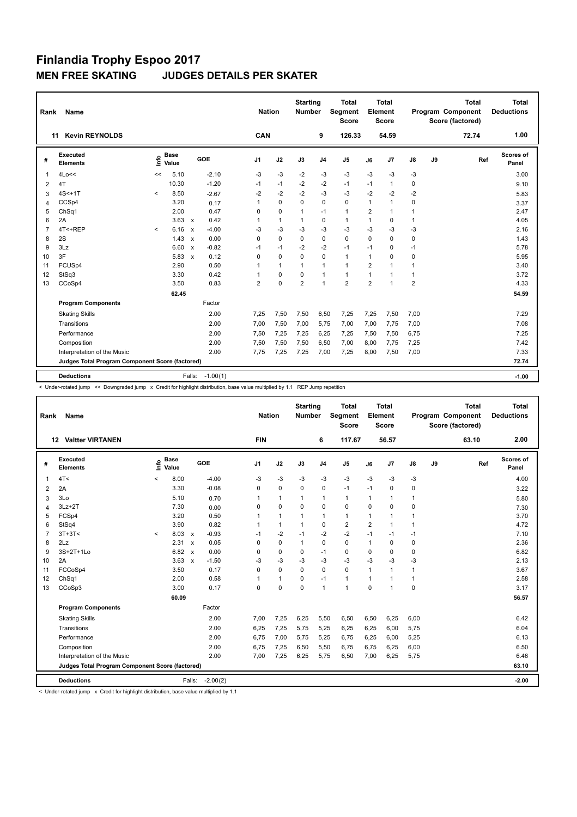| Rank           | <b>Name</b>                                     |         |                      |                           |            | <b>Nation</b>  |              | <b>Starting</b><br><b>Number</b> |                | <b>Total</b><br>Segment<br><b>Score</b> |                | <b>Total</b><br>Element<br><b>Score</b> |                |    | <b>Total</b><br>Program Component<br>Score (factored) | <b>Total</b><br><b>Deductions</b> |
|----------------|-------------------------------------------------|---------|----------------------|---------------------------|------------|----------------|--------------|----------------------------------|----------------|-----------------------------------------|----------------|-----------------------------------------|----------------|----|-------------------------------------------------------|-----------------------------------|
|                | <b>Kevin REYNOLDS</b><br>11                     |         |                      |                           |            | CAN            |              |                                  | 9              | 126.33                                  |                | 54.59                                   |                |    | 72.74                                                 | 1.00                              |
| #              | Executed<br><b>Elements</b>                     | lnfo    | <b>Base</b><br>Value |                           | GOE        | J <sub>1</sub> | J2           | J3                               | J <sub>4</sub> | J <sub>5</sub>                          | J6             | J7                                      | J8             | J9 | Ref                                                   | <b>Scores of</b><br>Panel         |
| 1              | 4Lo<<                                           | <<      | 5.10                 |                           | $-2.10$    | -3             | $-3$         | $-2$                             | $-3$           | $-3$                                    | $-3$           | $-3$                                    | -3             |    |                                                       | 3.00                              |
| 2              | 4T                                              |         | 10.30                |                           | $-1.20$    | $-1$           | $-1$         | $-2$                             | $-2$           | $-1$                                    | $-1$           | $\mathbf{1}$                            | 0              |    |                                                       | 9.10                              |
| 3              | $4S<+1T$                                        | $\prec$ | 8.50                 |                           | $-2.67$    | $-2$           | $-2$         | $-2$                             | $-3$           | $-3$                                    | $-2$           | $-2$                                    | $-2$           |    |                                                       | 5.83                              |
| $\overline{4}$ | CCSp4                                           |         | 3.20                 |                           | 0.17       | 1              | $\mathbf 0$  | $\mathbf 0$                      | 0              | $\mathbf 0$                             | $\mathbf{1}$   | $\mathbf{1}$                            | 0              |    |                                                       | 3.37                              |
| 5              | ChSq1                                           |         | 2.00                 |                           | 0.47       | 0              | $\mathbf 0$  | 1                                | $-1$           | $\mathbf{1}$                            | 2              | $\mathbf{1}$                            | $\mathbf{1}$   |    |                                                       | 2.47                              |
| 6              | 2A                                              |         | 3.63                 | $\mathsf{x}$              | 0.42       | 1              | $\mathbf{1}$ | 1                                | 0              | $\mathbf{1}$                            | $\mathbf{1}$   | 0                                       | $\mathbf{1}$   |    |                                                       | 4.05                              |
| $\overline{7}$ | 4T<+REP                                         | $\,<\,$ | 6.16                 | $\boldsymbol{\mathsf{x}}$ | $-4.00$    | $-3$           | $-3$         | $-3$                             | $-3$           | $-3$                                    | $-3$           | $-3$                                    | $-3$           |    |                                                       | 2.16                              |
| 8              | 2S                                              |         | 1.43                 | $\mathsf{x}$              | 0.00       | 0              | $\mathbf 0$  | 0                                | 0              | $\mathbf 0$                             | $\Omega$       | 0                                       | 0              |    |                                                       | 1.43                              |
| 9              | 3Lz                                             |         | 6.60                 | $\boldsymbol{\mathsf{x}}$ | $-0.82$    | $-1$           | $-1$         | $-2$                             | $-2$           | $-1$                                    | $-1$           | 0                                       | $-1$           |    |                                                       | 5.78                              |
| 10             | 3F                                              |         | 5.83                 | $\boldsymbol{\mathsf{x}}$ | 0.12       | $\Omega$       | $\mathbf 0$  | $\Omega$                         | $\mathbf 0$    | $\mathbf{1}$                            | $\mathbf{1}$   | 0                                       | 0              |    |                                                       | 5.95                              |
| 11             | FCUSp4                                          |         | 2.90                 |                           | 0.50       | 1              | $\mathbf{1}$ | $\mathbf{1}$                     | $\mathbf{1}$   | $\mathbf{1}$                            | $\overline{2}$ | 1                                       | $\mathbf{1}$   |    |                                                       | 3.40                              |
| 12             | StSq3                                           |         | 3.30                 |                           | 0.42       | 1              | $\mathbf 0$  | 0                                | $\overline{1}$ | $\mathbf{1}$                            | $\mathbf{1}$   | 1                                       | $\mathbf{1}$   |    |                                                       | 3.72                              |
| 13             | CCoSp4                                          |         | 3.50                 |                           | 0.83       | $\overline{2}$ | $\mathbf 0$  | $\overline{2}$                   | $\overline{1}$ | $\overline{2}$                          | $\overline{2}$ | 1                                       | $\overline{2}$ |    |                                                       | 4.33                              |
|                |                                                 |         | 62.45                |                           |            |                |              |                                  |                |                                         |                |                                         |                |    |                                                       | 54.59                             |
|                | <b>Program Components</b>                       |         |                      |                           | Factor     |                |              |                                  |                |                                         |                |                                         |                |    |                                                       |                                   |
|                | <b>Skating Skills</b>                           |         |                      |                           | 2.00       | 7.25           | 7,50         | 7,50                             | 6,50           | 7,25                                    | 7,25           | 7,50                                    | 7,00           |    |                                                       | 7.29                              |
|                | Transitions                                     |         |                      |                           | 2.00       | 7,00           | 7,50         | 7,00                             | 5,75           | 7,00                                    | 7,00           | 7,75                                    | 7,00           |    |                                                       | 7.08                              |
|                | Performance                                     |         |                      |                           | 2.00       | 7,50           | 7,25         | 7,25                             | 6,25           | 7,25                                    | 7,50           | 7,50                                    | 6,75           |    |                                                       | 7.25                              |
|                | Composition                                     |         |                      |                           | 2.00       | 7,50           | 7,50         | 7,50                             | 6,50           | 7,00                                    | 8,00           | 7,75                                    | 7,25           |    |                                                       | 7.42                              |
|                | Interpretation of the Music                     |         |                      |                           | 2.00       | 7,75           | 7,25         | 7,25                             | 7,00           | 7,25                                    | 8,00           | 7,50                                    | 7,00           |    |                                                       | 7.33                              |
|                | Judges Total Program Component Score (factored) |         |                      |                           |            |                |              |                                  |                |                                         |                |                                         |                |    |                                                       | 72.74                             |
|                |                                                 |         |                      |                           |            |                |              |                                  |                |                                         |                |                                         |                |    |                                                       |                                   |
|                | <b>Deductions</b>                               |         |                      | Falls:                    | $-1.00(1)$ |                |              |                                  |                |                                         |                |                                         |                |    |                                                       | $-1.00$                           |

< Under-rotated jump << Downgraded jump x Credit for highlight distribution, base value multiplied by 1.1 REP Jump repetition

| Rank           | Name                                            |         |                      |                           |            | <b>Nation</b>  |              | <b>Starting</b><br><b>Number</b> |                | Total<br><b>Segment</b><br>Score |                | Total<br>Element<br><b>Score</b> |               |    | Total<br>Program Component<br>Score (factored) | Total<br><b>Deductions</b> |
|----------------|-------------------------------------------------|---------|----------------------|---------------------------|------------|----------------|--------------|----------------------------------|----------------|----------------------------------|----------------|----------------------------------|---------------|----|------------------------------------------------|----------------------------|
|                | <b>Valtter VIRTANEN</b><br>12                   |         |                      |                           |            | <b>FIN</b>     |              |                                  | 6              | 117.67                           |                | 56.57                            |               |    | 63.10                                          | 2.00                       |
| #              | Executed<br><b>Elements</b>                     | ١π      | <b>Base</b><br>Value |                           | GOE        | J <sub>1</sub> | J2           | J3                               | J <sub>4</sub> | J <sub>5</sub>                   | J6             | J7                               | $\mathsf{J}8$ | J9 | Ref                                            | Scores of<br>Panel         |
| 1              | 4T <                                            | $\,<$   | 8.00                 |                           | $-4.00$    | -3             | $-3$         | $-3$                             | $-3$           | $-3$                             | -3             | $-3$                             | $-3$          |    |                                                | 4.00                       |
| 2              | 2A                                              |         | 3.30                 |                           | $-0.08$    | 0              | $\mathbf 0$  | 0                                | $\mathbf 0$    | $-1$                             | $-1$           | 0                                | 0             |    |                                                | 3.22                       |
| 3              | 3Lo                                             |         | 5.10                 |                           | 0.70       | 1              | $\mathbf{1}$ | $\mathbf{1}$                     | $\mathbf{1}$   | $\mathbf{1}$                     | $\mathbf{1}$   | 1                                | $\mathbf{1}$  |    |                                                | 5.80                       |
| $\overline{4}$ | $3Lz + 2T$                                      |         | 7.30                 |                           | 0.00       | 0              | $\mathbf 0$  | $\Omega$                         | $\Omega$       | $\mathbf 0$                      | $\Omega$       | 0                                | $\mathbf 0$   |    |                                                | 7.30                       |
| 5              | FCSp4                                           |         | 3.20                 |                           | 0.50       | 1              | $\mathbf{1}$ | $\mathbf{1}$                     | $\mathbf{1}$   | $\mathbf{1}$                     | $\mathbf{1}$   | 1                                | $\mathbf{1}$  |    |                                                | 3.70                       |
| 6              | StSq4                                           |         | 3.90                 |                           | 0.82       | $\overline{1}$ | $\mathbf{1}$ | $\mathbf{1}$                     | $\mathbf 0$    | $\overline{2}$                   | $\overline{2}$ | $\mathbf{1}$                     | $\mathbf{1}$  |    |                                                | 4.72                       |
| $\overline{7}$ | $3T+3T<$                                        | $\prec$ | 8.03                 | $\mathsf{x}$              | $-0.93$    | $-1$           | $-2$         | $-1$                             | $-2$           | $-2$                             | $-1$           | $-1$                             | -1            |    |                                                | 7.10                       |
| 8              | 2Lz                                             |         | 2.31                 | $\boldsymbol{\mathsf{x}}$ | 0.05       | 0              | $\mathbf 0$  | $\mathbf{1}$                     | $\mathbf 0$    | $\mathbf 0$                      | $\mathbf{1}$   | 0                                | 0             |    |                                                | 2.36                       |
| 9              | 3S+2T+1Lo                                       |         | 6.82                 | $\mathsf{x}$              | 0.00       | 0              | $\mathbf 0$  | $\mathbf 0$                      | $-1$           | $\mathbf 0$                      | 0              | 0                                | $\mathbf 0$   |    |                                                | 6.82                       |
| 10             | 2A                                              |         | 3.63                 | $\mathsf{x}$              | $-1.50$    | $-3$           | $-3$         | $-3$                             | -3             | $-3$                             | -3             | $-3$                             | $-3$          |    |                                                | 2.13                       |
| 11             | FCCoSp4                                         |         | 3.50                 |                           | 0.17       | 0              | $\mathbf 0$  | $\Omega$                         | $\Omega$       | $\Omega$                         | $\mathbf{1}$   | $\mathbf{1}$                     | $\mathbf{1}$  |    |                                                | 3.67                       |
| 12             | ChSq1                                           |         | 2.00                 |                           | 0.58       | 1              | $\mathbf{1}$ | 0                                | $-1$           | $\mathbf{1}$                     | $\mathbf{1}$   | $\mathbf{1}$                     | $\mathbf{1}$  |    |                                                | 2.58                       |
| 13             | CCoSp3                                          |         | 3.00                 |                           | 0.17       | 0              | $\mathbf 0$  | $\mathbf 0$                      | $\overline{1}$ | 1                                | $\mathbf 0$    | 1                                | $\mathbf 0$   |    |                                                | 3.17                       |
|                |                                                 |         | 60.09                |                           |            |                |              |                                  |                |                                  |                |                                  |               |    |                                                | 56.57                      |
|                | <b>Program Components</b>                       |         |                      |                           | Factor     |                |              |                                  |                |                                  |                |                                  |               |    |                                                |                            |
|                | <b>Skating Skills</b>                           |         |                      |                           | 2.00       | 7.00           | 7,25         | 6,25                             | 5,50           | 6,50                             | 6,50           | 6,25                             | 6,00          |    |                                                | 6.42                       |
|                | Transitions                                     |         |                      |                           | 2.00       | 6,25           | 7,25         | 5,75                             | 5,25           | 6,25                             | 6,25           | 6,00                             | 5,75          |    |                                                | 6.04                       |
|                | Performance                                     |         |                      |                           | 2.00       | 6.75           | 7,00         | 5.75                             | 5,25           | 6,75                             | 6,25           | 6,00                             | 5,25          |    |                                                | 6.13                       |
|                | Composition                                     |         |                      |                           | 2.00       | 6,75           | 7,25         | 6,50                             | 5,50           | 6,75                             | 6,75           | 6,25                             | 6,00          |    |                                                | 6.50                       |
|                | Interpretation of the Music                     |         |                      |                           | 2.00       | 7,00           | 7,25         | 6,25                             | 5,75           | 6,50                             | 7,00           | 6,25                             | 5,75          |    |                                                | 6.46                       |
|                | Judges Total Program Component Score (factored) |         |                      |                           |            |                |              |                                  |                |                                  |                |                                  |               |    |                                                | 63.10                      |
|                | <b>Deductions</b>                               |         |                      | Falls:                    | $-2.00(2)$ |                |              |                                  |                |                                  |                |                                  |               |    |                                                | $-2.00$                    |

< Under-rotated jump x Credit for highlight distribution, base value multiplied by 1.1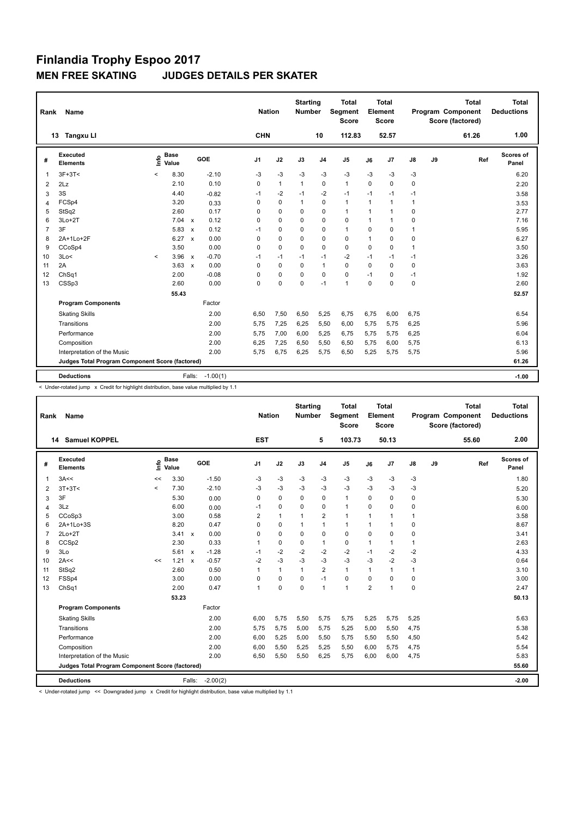| Rank           | Name                                            |         |                      |                           |            |                |              | <b>Starting</b><br><b>Number</b> |                | <b>Total</b><br>Segment<br><b>Score</b> |              | <b>Total</b><br>Element<br><b>Score</b> |              |    | <b>Total</b><br>Program Component<br>Score (factored) | <b>Total</b><br><b>Deductions</b> |
|----------------|-------------------------------------------------|---------|----------------------|---------------------------|------------|----------------|--------------|----------------------------------|----------------|-----------------------------------------|--------------|-----------------------------------------|--------------|----|-------------------------------------------------------|-----------------------------------|
|                | <b>Tangxu Ll</b><br>13                          |         |                      |                           |            | <b>CHN</b>     |              |                                  | 10             | 112.83                                  |              | 52.57                                   |              |    | 61.26                                                 | 1.00                              |
| #              | Executed<br><b>Elements</b>                     | ۴ů      | <b>Base</b><br>Value |                           | GOE        | J <sub>1</sub> | J2           | J3                               | J <sub>4</sub> | J <sub>5</sub>                          | J6           | J7                                      | J8           | J9 | Ref                                                   | Scores of<br>Panel                |
| $\mathbf{1}$   | $3F+3T<$                                        | $\prec$ | 8.30                 |                           | $-2.10$    | $-3$           | $-3$         | $-3$                             | $-3$           | $-3$                                    | $-3$         | $-3$                                    | $-3$         |    |                                                       | 6.20                              |
| 2              | 2Lz                                             |         | 2.10                 |                           | 0.10       | 0              | $\mathbf{1}$ | $\mathbf{1}$                     | $\Omega$       | $\mathbf{1}$                            | $\Omega$     | 0                                       | 0            |    |                                                       | 2.20                              |
| 3              | 3S                                              |         | 4.40                 |                           | $-0.82$    | $-1$           | $-2$         | $-1$                             | $-2$           | $-1$                                    | $-1$         | $-1$                                    | $-1$         |    |                                                       | 3.58                              |
| 4              | FCSp4                                           |         | 3.20                 |                           | 0.33       | 0              | $\Omega$     | $\mathbf{1}$                     | $\mathbf 0$    | $\mathbf{1}$                            | $\mathbf{1}$ | $\mathbf{1}$                            | $\mathbf{1}$ |    |                                                       | 3.53                              |
| 5              | StSq2                                           |         | 2.60                 |                           | 0.17       | 0              | $\Omega$     | $\Omega$                         | $\mathbf 0$    | $\mathbf{1}$                            | $\mathbf{1}$ | 1                                       | 0            |    |                                                       | 2.77                              |
| 6              | $3Lo+2T$                                        |         | 7.04                 | $\mathbf{x}$              | 0.12       | 0              | $\Omega$     | $\Omega$                         | $\mathbf 0$    | $\Omega$                                | $\mathbf{1}$ | 1                                       | 0            |    |                                                       | 7.16                              |
| $\overline{7}$ | 3F                                              |         | 5.83                 | $\boldsymbol{\mathsf{x}}$ | 0.12       | $-1$           | $\mathbf 0$  | $\Omega$                         | $\mathbf 0$    | $\mathbf{1}$                            | $\Omega$     | $\Omega$                                | 1            |    |                                                       | 5.95                              |
| 8              | 2A+1Lo+2F                                       |         | 6.27                 | $\boldsymbol{\mathsf{x}}$ | 0.00       | $\Omega$       | $\Omega$     | $\Omega$                         | $\Omega$       | $\mathbf 0$                             | 1            | 0                                       | 0            |    |                                                       | 6.27                              |
| 9              | CCoSp4                                          |         | 3.50                 |                           | 0.00       | 0              | $\mathbf 0$  | $\Omega$                         | $\mathbf 0$    | $\mathbf 0$                             | 0            | 0                                       | 1            |    |                                                       | 3.50                              |
| 10             | 3Lo<                                            | $\prec$ | 3.96                 | $\boldsymbol{\mathsf{x}}$ | $-0.70$    | $-1$           | $-1$         | $-1$                             | $-1$           | $-2$                                    | $-1$         | $-1$                                    | $-1$         |    |                                                       | 3.26                              |
| 11             | 2A                                              |         | 3.63                 | $\boldsymbol{\mathsf{x}}$ | 0.00       | $\Omega$       | $\Omega$     | $\Omega$                         | $\mathbf{1}$   | $\Omega$                                | $\Omega$     | $\Omega$                                | 0            |    |                                                       | 3.63                              |
| 12             | ChSq1                                           |         | 2.00                 |                           | $-0.08$    | 0              | 0            | $\Omega$                         | $\mathbf 0$    | $\mathbf 0$                             | $-1$         | 0                                       | $-1$         |    |                                                       | 1.92                              |
| 13             | CSSp3                                           |         | 2.60                 |                           | 0.00       | 0              | $\Omega$     | $\Omega$                         | $-1$           | $\mathbf{1}$                            | $\Omega$     | $\Omega$                                | 0            |    |                                                       | 2.60                              |
|                |                                                 |         | 55.43                |                           |            |                |              |                                  |                |                                         |              |                                         |              |    |                                                       | 52.57                             |
|                | <b>Program Components</b>                       |         |                      |                           | Factor     |                |              |                                  |                |                                         |              |                                         |              |    |                                                       |                                   |
|                | <b>Skating Skills</b>                           |         |                      |                           | 2.00       | 6.50           | 7,50         | 6,50                             | 5,25           | 6,75                                    | 6,75         | 6,00                                    | 6.75         |    |                                                       | 6.54                              |
|                | Transitions                                     |         |                      |                           | 2.00       | 5.75           | 7,25         | 6,25                             | 5,50           | 6,00                                    | 5.75         | 5,75                                    | 6,25         |    |                                                       | 5.96                              |
|                | Performance                                     |         |                      |                           | 2.00       | 5.75           | 7,00         | 6,00                             | 5,25           | 6,75                                    | 5,75         | 5,75                                    | 6,25         |    |                                                       | 6.04                              |
|                | Composition                                     |         |                      |                           | 2.00       | 6,25           | 7,25         | 6,50                             | 5,50           | 6,50                                    | 5,75         | 6,00                                    | 5,75         |    |                                                       | 6.13                              |
|                | Interpretation of the Music                     |         |                      |                           | 2.00       | 5.75           | 6,75         | 6,25                             | 5,75           | 6,50                                    | 5,25         | 5,75                                    | 5,75         |    |                                                       | 5.96                              |
|                | Judges Total Program Component Score (factored) |         |                      |                           |            |                |              |                                  |                |                                         |              |                                         |              |    |                                                       | 61.26                             |
|                | <b>Deductions</b>                               |         |                      | Falls:                    | $-1.00(1)$ |                |              |                                  |                |                                         |              |                                         |              |    |                                                       | $-1.00$                           |
|                |                                                 |         |                      |                           |            |                |              |                                  |                |                                         |              |                                         |              |    |                                                       |                                   |

< Under-rotated jump x Credit for highlight distribution, base value multiplied by 1.1

| <b>Name</b><br>Rank |                                                 |       |                      |                           |            | <b>Nation</b>  |              | <b>Starting</b><br><b>Number</b> | <b>Total</b><br>Segment<br><b>Score</b> |                | <b>Total</b><br>Element<br><b>Score</b> |                |             | <b>Total</b><br>Program Component<br>Score (factored) | <b>Total</b><br><b>Deductions</b> |                    |
|---------------------|-------------------------------------------------|-------|----------------------|---------------------------|------------|----------------|--------------|----------------------------------|-----------------------------------------|----------------|-----------------------------------------|----------------|-------------|-------------------------------------------------------|-----------------------------------|--------------------|
|                     | <b>Samuel KOPPEL</b><br>14                      |       |                      |                           |            | <b>EST</b>     |              |                                  | 5                                       | 103.73         |                                         | 50.13          |             |                                                       | 55.60                             | 2.00               |
| #                   | Executed<br><b>Elements</b>                     | ١m    | <b>Base</b><br>Value |                           | GOE        | J <sub>1</sub> | J2           | J3                               | J <sub>4</sub>                          | J <sub>5</sub> | J6                                      | J7             | J8          | J9                                                    | Ref                               | Scores of<br>Panel |
| 1                   | 3A<<                                            | <<    | 3.30                 |                           | $-1.50$    | -3             | -3           | -3                               | -3                                      | -3             | $-3$                                    | $-3$           | -3          |                                                       |                                   | 1.80               |
| 2                   | $3T+3T<$                                        | $\,<$ | 7.30                 |                           | $-2.10$    | -3             | $-3$         | $-3$                             | $-3$                                    | $-3$           | $-3$                                    | $-3$           | $-3$        |                                                       |                                   | 5.20               |
| 3                   | 3F                                              |       | 5.30                 |                           | 0.00       | 0              | $\Omega$     | $\Omega$                         | 0                                       | $\mathbf{1}$   | $\Omega$                                | 0              | 0           |                                                       |                                   | 5.30               |
| $\overline{4}$      | 3Lz                                             |       | 6.00                 |                           | 0.00       | $-1$           | 0            | $\Omega$                         | 0                                       | $\mathbf{1}$   | $\Omega$                                | $\Omega$       | 0           |                                                       |                                   | 6.00               |
| 5                   | CCoSp3                                          |       | 3.00                 |                           | 0.58       | $\overline{2}$ | $\mathbf{1}$ | $\overline{1}$                   | $\overline{2}$                          | $\mathbf{1}$   | $\mathbf{1}$                            | $\mathbf 1$    | 1           |                                                       |                                   | 3.58               |
| 6                   | 2A+1Lo+3S                                       |       | 8.20                 |                           | 0.47       | 0              | $\mathbf 0$  | $\overline{1}$                   | $\overline{1}$                          | $\mathbf{1}$   | $\overline{1}$                          | 1              | 0           |                                                       |                                   | 8.67               |
| 7                   | $2Lo+2T$                                        |       | 3.41                 | $\boldsymbol{\mathsf{x}}$ | 0.00       | 0              | $\mathbf 0$  | $\mathbf 0$                      | $\mathbf 0$                             | $\mathbf 0$    | $\mathbf 0$                             | 0              | 0           |                                                       |                                   | 3.41               |
| 8                   | CCSp2                                           |       | 2.30                 |                           | 0.33       | 1              | 0            | 0                                | $\mathbf{1}$                            | 0              | 1                                       | 1              | 1           |                                                       |                                   | 2.63               |
| 9                   | 3Lo                                             |       | 5.61                 | $\mathsf{x}$              | $-1.28$    | $-1$           | $-2$         | $-2$                             | $-2$                                    | $-2$           | $-1$                                    | $-2$           | $-2$        |                                                       |                                   | 4.33               |
| 10                  | 2A<<                                            | <<    | 1.21                 | $\boldsymbol{\mathsf{x}}$ | $-0.57$    | $-2$           | $-3$         | $-3$                             | $-3$                                    | $-3$           | $-3$                                    | $-2$           | $-3$        |                                                       |                                   | 0.64               |
| 11                  | StSq2                                           |       | 2.60                 |                           | 0.50       | 1              | $\mathbf{1}$ | $\mathbf{1}$                     | $\overline{\mathbf{c}}$                 | $\mathbf{1}$   | $\mathbf{1}$                            | 1              | 1           |                                                       |                                   | 3.10               |
| 12                  | FSSp4                                           |       | 3.00                 |                           | 0.00       | 0              | $\mathbf 0$  | $\Omega$                         | $-1$                                    | $\mathbf 0$    | $\Omega$                                | $\Omega$       | $\mathbf 0$ |                                                       |                                   | 3.00               |
| 13                  | Ch <sub>Sq1</sub>                               |       | 2.00                 |                           | 0.47       | $\mathbf{1}$   | $\mathbf 0$  | $\mathbf 0$                      | $\overline{1}$                          | $\mathbf{1}$   | $\overline{2}$                          | $\overline{1}$ | 0           |                                                       |                                   | 2.47               |
|                     |                                                 |       | 53.23                |                           |            |                |              |                                  |                                         |                |                                         |                |             |                                                       |                                   | 50.13              |
|                     | <b>Program Components</b>                       |       |                      |                           | Factor     |                |              |                                  |                                         |                |                                         |                |             |                                                       |                                   |                    |
|                     | <b>Skating Skills</b>                           |       |                      |                           | 2.00       | 6.00           | 5,75         | 5,50                             | 5.75                                    | 5,75           | 5,25                                    | 5,75           | 5,25        |                                                       |                                   | 5.63               |
|                     | Transitions                                     |       |                      |                           | 2.00       | 5,75           | 5,75         | 5,00                             | 5,75                                    | 5,25           | 5,00                                    | 5,50           | 4,75        |                                                       |                                   | 5.38               |
|                     | Performance                                     |       |                      |                           | 2.00       | 6,00           | 5,25         | 5,00                             | 5,50                                    | 5,75           | 5,50                                    | 5,50           | 4,50        |                                                       |                                   | 5.42               |
|                     | Composition                                     |       |                      |                           | 2.00       | 6.00           | 5,50         | 5,25                             | 5.25                                    | 5,50           | 6,00                                    | 5.75           | 4,75        |                                                       |                                   | 5.54               |
|                     | Interpretation of the Music                     |       |                      |                           | 2.00       | 6,50           | 5,50         | 5,50                             | 6,25                                    | 5,75           | 6,00                                    | 6,00           | 4,75        |                                                       |                                   | 5.83               |
|                     | Judges Total Program Component Score (factored) |       |                      |                           |            |                |              |                                  |                                         |                |                                         |                |             |                                                       |                                   | 55.60              |
|                     | <b>Deductions</b>                               |       |                      | Falls:                    | $-2.00(2)$ |                |              |                                  |                                         |                |                                         |                |             |                                                       |                                   | $-2.00$            |
|                     |                                                 |       |                      |                           |            |                |              |                                  |                                         |                |                                         |                |             |                                                       |                                   |                    |

< Under-rotated jump << Downgraded jump x Credit for highlight distribution, base value multiplied by 1.1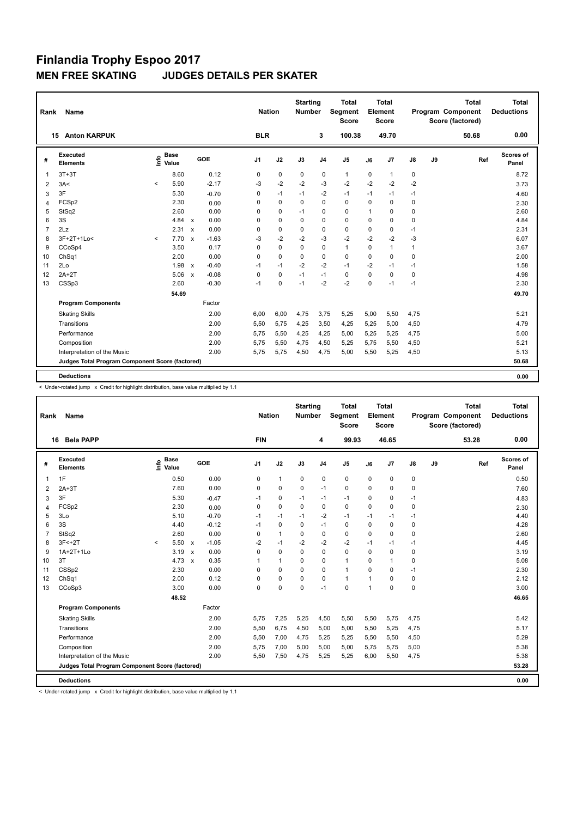| Rank<br>Name   |                                                 |         |                      |                           |         |                | <b>Nation</b> | <b>Starting</b><br><b>Number</b> |                | <b>Total</b><br>Segment<br><b>Score</b> | <b>Total</b><br>Element<br><b>Score</b> |              |              |    | <b>Total</b><br>Program Component<br>Score (factored) | <b>Total</b><br><b>Deductions</b> |
|----------------|-------------------------------------------------|---------|----------------------|---------------------------|---------|----------------|---------------|----------------------------------|----------------|-----------------------------------------|-----------------------------------------|--------------|--------------|----|-------------------------------------------------------|-----------------------------------|
|                | <b>Anton KARPUK</b><br>15                       |         |                      |                           |         | <b>BLR</b>     |               |                                  | 3              | 100.38                                  |                                         | 49.70        |              |    | 50.68                                                 | 0.00                              |
| #              | Executed<br><b>Elements</b>                     | lnfo    | <b>Base</b><br>Value |                           | GOE     | J <sub>1</sub> | J2            | J3                               | J <sub>4</sub> | J <sub>5</sub>                          | J6                                      | J7           | J8           | J9 | Ref                                                   | Scores of<br>Panel                |
| $\overline{1}$ | $3T+3T$                                         |         | 8.60                 |                           | 0.12    | 0              | $\mathbf 0$   | 0                                | 0              | $\mathbf{1}$                            | 0                                       | 1            | 0            |    |                                                       | 8.72                              |
| 2              | 3A<                                             | $\,<\,$ | 5.90                 |                           | $-2.17$ | $-3$           | $-2$          | $-2$                             | $-3$           | $-2$                                    | $-2$                                    | $-2$         | $-2$         |    |                                                       | 3.73                              |
| 3              | 3F                                              |         | 5.30                 |                           | $-0.70$ | 0              | $-1$          | $-1$                             | $-2$           | $-1$                                    | $-1$                                    | $-1$         | $-1$         |    |                                                       | 4.60                              |
| 4              | FCSp2                                           |         | 2.30                 |                           | 0.00    | 0              | $\mathbf 0$   | $\Omega$                         | $\Omega$       | $\mathbf 0$                             | $\Omega$                                | $\Omega$     | 0            |    |                                                       | 2.30                              |
| 5              | StSq2                                           |         | 2.60                 |                           | 0.00    | 0              | $\mathbf 0$   | $-1$                             | $\mathbf 0$    | $\mathbf 0$                             | $\mathbf{1}$                            | 0            | $\mathbf 0$  |    |                                                       | 2.60                              |
| 6              | 3S                                              |         | 4.84                 | $\boldsymbol{\mathsf{x}}$ | 0.00    | $\Omega$       | $\mathbf 0$   | $\Omega$                         | $\mathbf 0$    | $\mathbf 0$                             | $\Omega$                                | $\Omega$     | $\mathbf 0$  |    |                                                       | 4.84                              |
| $\overline{7}$ | 2Lz                                             |         | 2.31                 | $\boldsymbol{\mathsf{x}}$ | 0.00    | 0              | $\mathbf 0$   | 0                                | 0              | $\mathbf 0$                             | $\mathbf 0$                             | 0            | $-1$         |    |                                                       | 2.31                              |
| 8              | 3F+2T+1Lo<                                      | $\prec$ | 7.70                 | $\mathbf{x}$              | $-1.63$ | $-3$           | $-2$          | $-2$                             | $-3$           | $-2$                                    | $-2$                                    | $-2$         | -3           |    |                                                       | 6.07                              |
| 9              | CCoSp4                                          |         | 3.50                 |                           | 0.17    | $\Omega$       | 0             | 0                                | 0              | $\mathbf{1}$                            | 0                                       | $\mathbf{1}$ | $\mathbf{1}$ |    |                                                       | 3.67                              |
| 10             | ChSq1                                           |         | 2.00                 |                           | 0.00    | 0              | $\mathbf 0$   | 0                                | $\mathbf 0$    | $\mathbf 0$                             | $\mathbf 0$                             | $\mathbf 0$  | $\mathbf 0$  |    |                                                       | 2.00                              |
| 11             | 2Lo                                             |         | 1.98                 | $\mathsf{x}$              | $-0.40$ | $-1$           | $-1$          | $-2$                             | $-2$           | $-1$                                    | $-2$                                    | $-1$         | $-1$         |    |                                                       | 1.58                              |
| 12             | $2A+2T$                                         |         | 5.06                 | $\mathbf{x}$              | $-0.08$ | 0              | 0             | $-1$                             | $-1$           | 0                                       | $\Omega$                                | $\Omega$     | 0            |    |                                                       | 4.98                              |
| 13             | CSSp3                                           |         | 2.60                 |                           | $-0.30$ | $-1$           | 0             | $-1$                             | $-2$           | $-2$                                    | $\mathbf 0$                             | $-1$         | $-1$         |    |                                                       | 2.30                              |
|                |                                                 |         | 54.69                |                           |         |                |               |                                  |                |                                         |                                         |              |              |    |                                                       | 49.70                             |
|                | <b>Program Components</b>                       |         |                      |                           | Factor  |                |               |                                  |                |                                         |                                         |              |              |    |                                                       |                                   |
|                | <b>Skating Skills</b>                           |         |                      |                           | 2.00    | 6.00           | 6,00          | 4,75                             | 3,75           | 5,25                                    | 5,00                                    | 5,50         | 4,75         |    |                                                       | 5.21                              |
|                | Transitions                                     |         |                      |                           | 2.00    | 5,50           | 5,75          | 4,25                             | 3,50           | 4,25                                    | 5,25                                    | 5,00         | 4,50         |    |                                                       | 4.79                              |
|                | Performance                                     |         |                      |                           | 2.00    | 5.75           | 5,50          | 4,25                             | 4,25           | 5,00                                    | 5,25                                    | 5,25         | 4,75         |    |                                                       | 5.00                              |
|                | Composition                                     |         |                      |                           | 2.00    | 5.75           | 5,50          | 4,75                             | 4,50           | 5,25                                    | 5,75                                    | 5,50         | 4,50         |    |                                                       | 5.21                              |
|                | Interpretation of the Music                     |         |                      |                           | 2.00    | 5.75           | 5,75          | 4,50                             | 4,75           | 5,00                                    | 5,50                                    | 5,25         | 4,50         |    |                                                       | 5.13                              |
|                | Judges Total Program Component Score (factored) |         |                      |                           |         |                |               |                                  |                |                                         |                                         |              |              |    |                                                       | 50.68                             |
|                |                                                 |         |                      |                           |         |                |               |                                  |                |                                         |                                         |              |              |    |                                                       |                                   |
|                | <b>Deductions</b>                               |         |                      |                           |         |                |               |                                  |                |                                         |                                         |              |              |    |                                                       | 0.00                              |

< Under-rotated jump x Credit for highlight distribution, base value multiplied by 1.1

| Name<br>Rank   |                                                 |                                               |                                   |                | <b>Nation</b> |             |                | <b>Total</b><br>Segment<br><b>Score</b> | <b>Total</b><br>Element<br><b>Score</b> |          |             |    | <b>Total</b><br>Program Component<br>Score (factored) | <b>Total</b><br><b>Deductions</b> |
|----------------|-------------------------------------------------|-----------------------------------------------|-----------------------------------|----------------|---------------|-------------|----------------|-----------------------------------------|-----------------------------------------|----------|-------------|----|-------------------------------------------------------|-----------------------------------|
|                | <b>Bela PAPP</b><br>16                          |                                               |                                   | <b>FIN</b>     |               |             | 4              | 99.93                                   |                                         | 46.65    |             |    | 53.28                                                 | 0.00                              |
| #              | Executed<br><b>Elements</b>                     | <b>Base</b><br>$\mathop{\mathsf{E}}$<br>Value | GOE                               | J <sub>1</sub> | J2            | J3          | J <sub>4</sub> | J <sub>5</sub>                          | J6                                      | J7       | J8          | J9 | Ref                                                   | Scores of<br>Panel                |
| 1              | 1F                                              | 0.50                                          | 0.00                              | 0              | $\mathbf{1}$  | 0           | $\mathbf 0$    | $\mathbf 0$                             | $\mathbf 0$                             | 0        | 0           |    |                                                       | 0.50                              |
| 2              | $2A+3T$                                         | 7.60                                          | 0.00                              | 0              | $\mathbf 0$   | $\mathbf 0$ | $-1$           | $\mathbf 0$                             | $\mathbf 0$                             | 0        | 0           |    |                                                       | 7.60                              |
| 3              | 3F                                              | 5.30                                          | $-0.47$                           | $-1$           | 0             | $-1$        | $-1$           | $-1$                                    | $\mathbf 0$                             | 0        | $-1$        |    |                                                       | 4.83                              |
| $\overline{4}$ | FCSp2                                           | 2.30                                          | 0.00                              | 0              | $\mathbf 0$   | 0           | $\mathbf 0$    | $\mathbf 0$                             | $\mathbf 0$                             | 0        | 0           |    |                                                       | 2.30                              |
| 5              | 3Lo                                             | 5.10                                          | $-0.70$                           | $-1$           | $-1$          | $-1$        | $-2$           | $-1$                                    | $-1$                                    | $-1$     | $-1$        |    |                                                       | 4.40                              |
| 6              | 3S                                              | 4.40                                          | $-0.12$                           | $-1$           | 0             | $\Omega$    | $-1$           | 0                                       | $\Omega$                                | $\Omega$ | 0           |    |                                                       | 4.28                              |
| $\overline{7}$ | StSq2                                           | 2.60                                          | 0.00                              | 0              | $\mathbf{1}$  | $\mathbf 0$ | $\pmb{0}$      | 0                                       | $\Omega$                                | 0        | 0           |    |                                                       | 2.60                              |
| 8              | $3F < +2T$                                      | 5.50<br>$\prec$                               | $-1.05$<br>$\mathsf{x}$           | $-2$           | $-1$          | $-2$        | $-2$           | $-2$                                    | $-1$                                    | $-1$     | $-1$        |    |                                                       | 4.45                              |
| 9              | 1A+2T+1Lo                                       | 3.19                                          | 0.00<br>$\mathsf{x}$              | 0              | 0             | $\Omega$    | $\mathbf 0$    | $\mathbf 0$                             | $\Omega$                                | $\Omega$ | 0           |    |                                                       | 3.19                              |
| 10             | 3T                                              | 4.73                                          | 0.35<br>$\boldsymbol{\mathsf{x}}$ | 1              | $\mathbf{1}$  | $\mathbf 0$ | $\mathbf 0$    | $\mathbf{1}$                            | $\mathbf 0$                             | 1        | 0           |    |                                                       | 5.08                              |
| 11             | CSSp2                                           | 2.30                                          | 0.00                              | 0              | $\mathbf 0$   | $\Omega$    | 0              | $\mathbf{1}$                            | $\Omega$                                | 0        | $-1$        |    |                                                       | 2.30                              |
| 12             | ChSq1                                           | 2.00                                          | 0.12                              | 0              | $\mathbf 0$   | $\mathbf 0$ | $\mathbf 0$    | $\mathbf{1}$                            | $\blacktriangleleft$                    | $\Omega$ | 0           |    |                                                       | 2.12                              |
| 13             | CCoSp3                                          | 3.00                                          | 0.00                              | 0              | $\mathbf 0$   | $\mathbf 0$ | $-1$           | $\mathbf 0$                             | $\blacktriangleleft$                    | 0        | $\mathbf 0$ |    |                                                       | 3.00                              |
|                |                                                 | 48.52                                         |                                   |                |               |             |                |                                         |                                         |          |             |    |                                                       | 46.65                             |
|                | <b>Program Components</b>                       |                                               | Factor                            |                |               |             |                |                                         |                                         |          |             |    |                                                       |                                   |
|                | <b>Skating Skills</b>                           |                                               | 2.00                              | 5,75           | 7,25          | 5,25        | 4,50           | 5,50                                    | 5,50                                    | 5,75     | 4,75        |    |                                                       | 5.42                              |
|                | Transitions                                     |                                               | 2.00                              | 5,50           | 6,75          | 4,50        | 5,00           | 5,00                                    | 5,50                                    | 5,25     | 4,75        |    |                                                       | 5.17                              |
|                | Performance                                     |                                               | 2.00                              | 5,50           | 7,00          | 4,75        | 5,25           | 5,25                                    | 5,50                                    | 5,50     | 4,50        |    |                                                       | 5.29                              |
|                | Composition                                     |                                               | 2.00                              | 5.75           | 7,00          | 5,00        | 5,00           | 5,00                                    | 5,75                                    | 5,75     | 5,00        |    |                                                       | 5.38                              |
|                | Interpretation of the Music                     |                                               | 2.00                              | 5,50           | 7,50          | 4,75        | 5,25           | 5,25                                    | 6,00                                    | 5,50     | 4,75        |    |                                                       | 5.38                              |
|                | Judges Total Program Component Score (factored) |                                               |                                   |                |               |             |                |                                         |                                         |          |             |    |                                                       | 53.28                             |
|                | <b>Deductions</b>                               |                                               |                                   |                |               |             |                |                                         |                                         |          |             |    |                                                       | 0.00                              |

< Under-rotated jump x Credit for highlight distribution, base value multiplied by 1.1